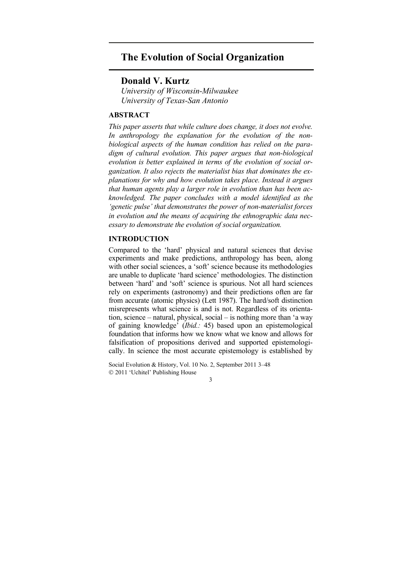# **The Evolution of Social Organization**

# **Donald V. Kurtz**

*University of Wisconsin-Milwaukee University of Texas-San Antonio* 

# **ABSTRACT**

*This paper asserts that while culture does change, it does not evolve. In anthropology the explanation for the evolution of the nonbiological aspects of the human condition has relied on the paradigm of cultural evolution. This paper argues that non-biological evolution is better explained in terms of the evolution of social organization. It also rejects the materialist bias that dominates the explanations for why and how evolution takes place. Instead it argues that human agents play a larger role in evolution than has been acknowledged. The paper concludes with a model identified as the 'genetic pulse' that demonstrates the power of non-materialist forces in evolution and the means of acquiring the ethnographic data necessary to demonstrate the evolution of social organization.* 

# **INTRODUCTION**

Compared to the 'hard' physical and natural sciences that devise experiments and make predictions, anthropology has been, along with other social sciences, a 'soft' science because its methodologies are unable to duplicate 'hard science' methodologies. The distinction between 'hard' and 'soft' science is spurious. Not all hard sciences rely on experiments (astronomy) and their predictions often are far from accurate (atomic physics) (Lett 1987). The hard/soft distinction misrepresents what science is and is not. Regardless of its orientation, science – natural, physical, social – is nothing more than 'a way of gaining knowledge' (*Ibid.:* 45) based upon an epistemological foundation that informs how we know what we know and allows for falsification of propositions derived and supported epistemologically. In science the most accurate epistemology is established by

Social Evolution & History, Vol. 10 No. 2, September 2011 3–48 2011 'Uchitel' Publishing House

3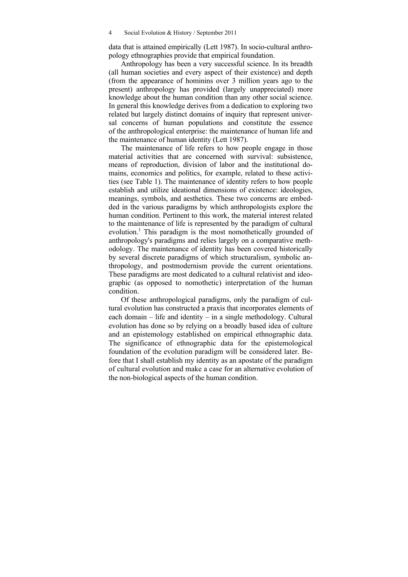data that is attained empirically (Lett 1987). In socio-cultural anthropology ethnographies provide that empirical foundation.

Anthropology has been a very successful science. In its breadth (all human societies and every aspect of their existence) and depth (from the appearance of hominins over 3 million years ago to the present) anthropology has provided (largely unappreciated) more knowledge about the human condition than any other social science. In general this knowledge derives from a dedication to exploring two related but largely distinct domains of inquiry that represent universal concerns of human populations and constitute the essence of the anthropological enterprise: the maintenance of human life and the maintenance of human identity (Lett 1987).

The maintenance of life refers to how people engage in those material activities that are concerned with survival: subsistence, means of reproduction, division of labor and the institutional domains, economics and politics, for example, related to these activities (see Table 1). The maintenance of identity refers to how people establish and utilize ideational dimensions of existence: ideologies, meanings, symbols, and aesthetics. These two concerns are embedded in the various paradigms by which anthropologists explore the human condition. Pertinent to this work, the material interest related to the maintenance of life is represented by the paradigm of cultural evolution.<sup>1</sup> This paradigm is the most nomothetically grounded of anthropology's paradigms and relies largely on a comparative methodology. The maintenance of identity has been covered historically by several discrete paradigms of which structuralism, symbolic anthropology, and postmodernism provide the current orientations. These paradigms are most dedicated to a cultural relativist and ideographic (as opposed to nomothetic) interpretation of the human condition.

Of these anthropological paradigms, only the paradigm of cultural evolution has constructed a praxis that incorporates elements of each domain – life and identity – in a single methodology. Cultural evolution has done so by relying on a broadly based idea of culture and an epistemology established on empirical ethnographic data. The significance of ethnographic data for the epistemological foundation of the evolution paradigm will be considered later. Before that I shall establish my identity as an apostate of the paradigm of cultural evolution and make a case for an alternative evolution of the non-biological aspects of the human condition.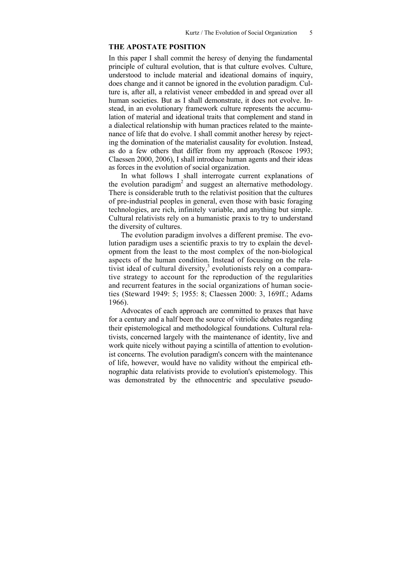# **THE APOSTATE POSITION**

In this paper I shall commit the heresy of denying the fundamental principle of cultural evolution, that is that culture evolves. Culture, understood to include material and ideational domains of inquiry, does change and it cannot be ignored in the evolution paradigm. Culture is, after all, a relativist veneer embedded in and spread over all human societies. But as I shall demonstrate, it does not evolve. Instead, in an evolutionary framework culture represents the accumulation of material and ideational traits that complement and stand in a dialectical relationship with human practices related to the maintenance of life that do evolve. I shall commit another heresy by rejecting the domination of the materialist causality for evolution. Instead, as do a few others that differ from my approach (Roscoe 1993; Claessen 2000, 2006), I shall introduce human agents and their ideas as forces in the evolution of social organization.

In what follows I shall interrogate current explanations of the evolution paradigm<sup>2</sup> and suggest an alternative methodology. There is considerable truth to the relativist position that the cultures of pre-industrial peoples in general, even those with basic foraging technologies, are rich, infinitely variable, and anything but simple. Cultural relativists rely on a humanistic praxis to try to understand the diversity of cultures.

The evolution paradigm involves a different premise. The evolution paradigm uses a scientific praxis to try to explain the development from the least to the most complex of the non-biological aspects of the human condition. Instead of focusing on the relativist ideal of cultural diversity,<sup>3</sup> evolutionists rely on a comparative strategy to account for the reproduction of the regularities and recurrent features in the social organizations of human societies (Steward 1949: 5; 1955: 8; Claessen 2000: 3, 169ff.; Adams 1966).

Advocates of each approach are committed to praxes that have for a century and a half been the source of vitriolic debates regarding their epistemological and methodological foundations. Cultural relativists, concerned largely with the maintenance of identity, live and work quite nicely without paying a scintilla of attention to evolutionist concerns. The evolution paradigm's concern with the maintenance of life, however, would have no validity without the empirical ethnographic data relativists provide to evolution's epistemology. This was demonstrated by the ethnocentric and speculative pseudo-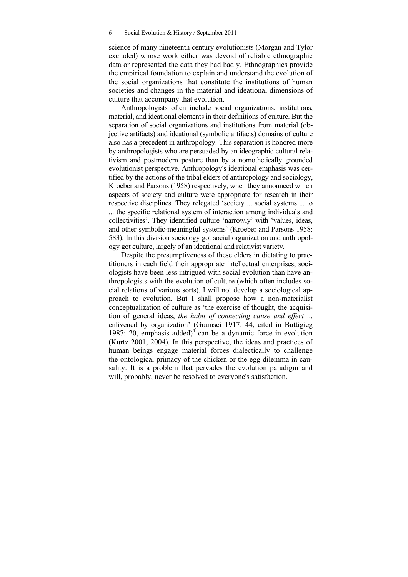#### 6 Social Evolution & History / September 2011

science of many nineteenth century evolutionists (Morgan and Tylor excluded) whose work either was devoid of reliable ethnographic data or represented the data they had badly. Ethnographies provide the empirical foundation to explain and understand the evolution of the social organizations that constitute the institutions of human societies and changes in the material and ideational dimensions of culture that accompany that evolution.

Anthropologists often include social organizations, institutions, material, and ideational elements in their definitions of culture. But the separation of social organizations and institutions from material (objective artifacts) and ideational (symbolic artifacts) domains of culture also has a precedent in anthropology. This separation is honored more by anthropologists who are persuaded by an ideographic cultural relativism and postmodern posture than by a nomothetically grounded evolutionist perspective. Anthropology's ideational emphasis was certified by the actions of the tribal elders of anthropology and sociology, Kroeber and Parsons (1958) respectively, when they announced which aspects of society and culture were appropriate for research in their respective disciplines. They relegated 'society ... social systems ... to ... the specific relational system of interaction among individuals and collectivities'. They identified culture 'narrowly' with 'values, ideas, and other symbolic-meaningful systems' (Kroeber and Parsons 1958: 583). In this division sociology got social organization and anthropology got culture, largely of an ideational and relativist variety.

Despite the presumptiveness of these elders in dictating to practitioners in each field their appropriate intellectual enterprises, sociologists have been less intrigued with social evolution than have anthropologists with the evolution of culture (which often includes social relations of various sorts). I will not develop a sociological approach to evolution. But I shall propose how a non-materialist conceptualization of culture as 'the exercise of thought, the acquisition of general ideas, *the habit of connecting cause and effect* ... enlivened by organization' (Gramsci 1917: 44, cited in Buttigieg 1987: 20, emphasis added) $4$  can be a dynamic force in evolution (Kurtz 2001, 2004). In this perspective, the ideas and practices of human beings engage material forces dialectically to challenge the ontological primacy of the chicken or the egg dilemma in causality. It is a problem that pervades the evolution paradigm and will, probably, never be resolved to everyone's satisfaction.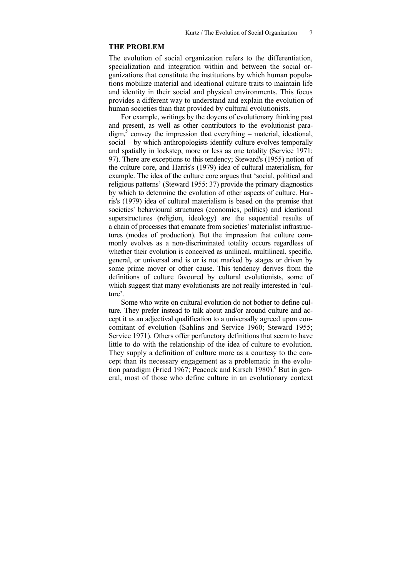### **THE PROBLEM**

The evolution of social organization refers to the differentiation, specialization and integration within and between the social organizations that constitute the institutions by which human populations mobilize material and ideational culture traits to maintain life and identity in their social and physical environments. This focus provides a different way to understand and explain the evolution of human societies than that provided by cultural evolutionists.

For example, writings by the doyens of evolutionary thinking past and present, as well as other contributors to the evolutionist para- $\text{digm}^5$  convey the impression that everything – material, ideational, social – by which anthropologists identify culture evolves temporally and spatially in lockstep, more or less as one totality (Service 1971: 97). There are exceptions to this tendency; Steward's (1955) notion of the culture core, and Harris's (1979) idea of cultural materialism, for example. The idea of the culture core argues that 'social, political and religious patterns' (Steward 1955: 37) provide the primary diagnostics by which to determine the evolution of other aspects of culture. Harris's (1979) idea of cultural materialism is based on the premise that societies' behavioural structures (economics, politics) and ideational superstructures (religion, ideology) are the sequential results of a chain of processes that emanate from societies' materialist infrastructures (modes of production). But the impression that culture commonly evolves as a non-discriminated totality occurs regardless of whether their evolution is conceived as unilineal, multilineal, specific, general, or universal and is or is not marked by stages or driven by some prime mover or other cause. This tendency derives from the definitions of culture favoured by cultural evolutionists, some of which suggest that many evolutionists are not really interested in 'culture'.

Some who write on cultural evolution do not bother to define culture. They prefer instead to talk about and/or around culture and accept it as an adjectival qualification to a universally agreed upon concomitant of evolution (Sahlins and Service 1960; Steward 1955; Service 1971). Others offer perfunctory definitions that seem to have little to do with the relationship of the idea of culture to evolution. They supply a definition of culture more as a courtesy to the concept than its necessary engagement as a problematic in the evolution paradigm (Fried 1967; Peacock and Kirsch 1980).<sup>6</sup> But in general, most of those who define culture in an evolutionary context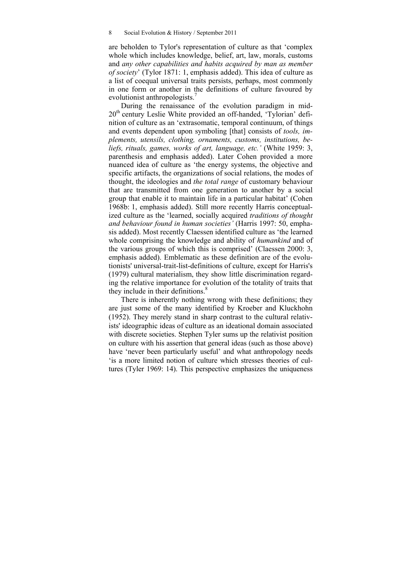are beholden to Tylor's representation of culture as that 'complex whole which includes knowledge, belief, art, law, morals, customs and *any other capabilities and habits acquired by man as member of society*' (Tylor 1871: 1, emphasis added). This idea of culture as a list of coequal universal traits persists, perhaps, most commonly in one form or another in the definitions of culture favoured by evolutionist anthropologists.<sup>7</sup>

During the renaissance of the evolution paradigm in mid-20<sup>th</sup> century Leslie White provided an off-handed, 'Tylorian' definition of culture as an 'extrasomatic, temporal continuum, of things and events dependent upon symboling [that] consists of *tools, implements, utensils, clothing, ornaments, customs, institutions, beliefs, rituals, games, works of art, language, etc.'* (White 1959: 3, parenthesis and emphasis added). Later Cohen provided a more nuanced idea of culture as 'the energy systems, the objective and specific artifacts, the organizations of social relations, the modes of thought, the ideologies and *the total range* of customary behaviour that are transmitted from one generation to another by a social group that enable it to maintain life in a particular habitat' (Cohen 1968b: 1, emphasis added). Still more recently Harris conceptualized culture as the 'learned, socially acquired *traditions of thought and behaviour found in human societies'* (Harris 1997: 50, emphasis added). Most recently Claessen identified culture as 'the learned whole comprising the knowledge and ability of *humankind* and of the various groups of which this is comprised' (Claessen 2000: 3, emphasis added). Emblematic as these definition are of the evolutionists' universal-trait-list-definitions of culture, except for Harris's (1979) cultural materialism, they show little discrimination regarding the relative importance for evolution of the totality of traits that they include in their definitions.<sup>8</sup>

There is inherently nothing wrong with these definitions; they are just some of the many identified by Kroeber and Kluckhohn (1952). They merely stand in sharp contrast to the cultural relativists' ideographic ideas of culture as an ideational domain associated with discrete societies. Stephen Tyler sums up the relativist position on culture with his assertion that general ideas (such as those above) have 'never been particularly useful' and what anthropology needs 'is a more limited notion of culture which stresses theories of cultures (Tyler 1969: 14). This perspective emphasizes the uniqueness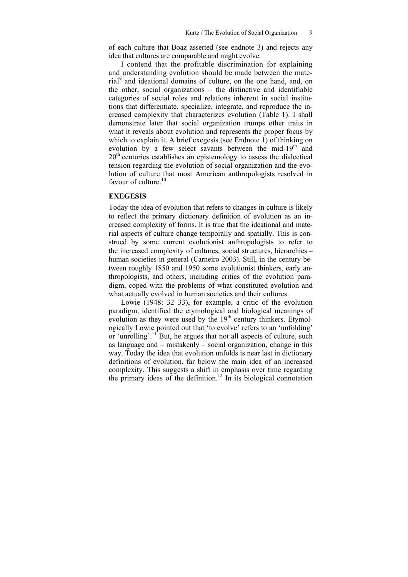of each culture that Boaz asserted (see endnote 3) and rejects any idea that cultures are comparable and might evolve.

I contend that the profitable discrimination for explaining and understanding evolution should be made between the material<sup>9</sup> and ideational domains of culture, on the one hand, and, on the other, social organizations – the distinctive and identifiable categories of social roles and relations inherent in social institutions that differentiate, specialize, integrate, and reproduce the increased complexity that characterizes evolution (Table 1). I shall demonstrate later that social organization trumps other traits in what it reveals about evolution and represents the proper focus by which to explain it. A brief exegesis (see Endnote 1) of thinking on evolution by a few select savants between the mid-19<sup>th</sup> and  $20<sup>th</sup>$  centuries establishes an epistemology to assess the dialectical tension regarding the evolution of social organization and the evolution of culture that most American anthropologists resolved in favour of culture. $10$ 

# **EXEGESIS**

Today the idea of evolution that refers to changes in culture is likely to reflect the primary dictionary definition of evolution as an increased complexity of forms. It is true that the ideational and material aspects of culture change temporally and spatially. This is construed by some current evolutionist anthropologists to refer to the increased complexity of cultures, social structures, hierarchies – human societies in general (Carneiro 2003). Still, in the century between roughly 1850 and 1950 some evolutionist thinkers, early anthropologists, and others, including critics of the evolution paradigm, coped with the problems of what constituted evolution and what actually evolved in human societies and their cultures.

Lowie (1948: 32–33), for example, a critic of the evolution paradigm, identified the etymological and biological meanings of evolution as they were used by the  $19<sup>th</sup>$  century thinkers. Etymologically Lowie pointed out that 'to evolve' refers to an 'unfolding' or 'unrolling'.<sup>11</sup> But, he argues that not all aspects of culture, such as language and – mistakenly – social organization, change in this way. Today the idea that evolution unfolds is near last in dictionary definitions of evolution, far below the main idea of an increased complexity. This suggests a shift in emphasis over time regarding the primary ideas of the definition.<sup>12</sup> In its biological connotation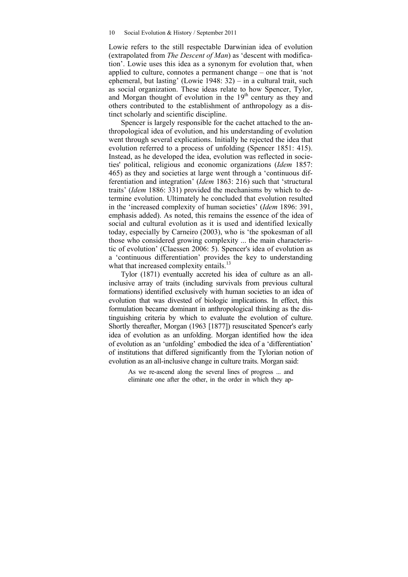Lowie refers to the still respectable Darwinian idea of evolution (extrapolated from *The Descent of Man*) as 'descent with modification'. Lowie uses this idea as a synonym for evolution that, when applied to culture, connotes a permanent change – one that is 'not ephemeral, but lasting' (Lowie 1948: 32) – in a cultural trait, such as social organization. These ideas relate to how Spencer, Tylor, and Morgan thought of evolution in the 19<sup>th</sup> century as they and others contributed to the establishment of anthropology as a distinct scholarly and scientific discipline.

Spencer is largely responsible for the cachet attached to the anthropological idea of evolution, and his understanding of evolution went through several explications. Initially he rejected the idea that evolution referred to a process of unfolding (Spencer 1851: 415). Instead, as he developed the idea, evolution was reflected in societies' political, religious and economic organizations (*Idem* 1857: 465) as they and societies at large went through a 'continuous differentiation and integration' (*Idem* 1863: 216) such that 'structural traits' (*Idem* 1886: 331) provided the mechanisms by which to determine evolution. Ultimately he concluded that evolution resulted in the 'increased complexity of human societies' (*Idem* 1896: 391, emphasis added). As noted, this remains the essence of the idea of social and cultural evolution as it is used and identified lexically today, especially by Carneiro (2003), who is 'the spokesman of all those who considered growing complexity ... the main characteristic of evolution' (Claessen 2006: 5). Spencer's idea of evolution as a 'continuous differentiation' provides the key to understanding what that increased complexity entails.<sup>13</sup>

Tylor (1871) eventually accreted his idea of culture as an allinclusive array of traits (including survivals from previous cultural formations) identified exclusively with human societies to an idea of evolution that was divested of biologic implications. In effect, this formulation became dominant in anthropological thinking as the distinguishing criteria by which to evaluate the evolution of culture. Shortly thereafter, Morgan (1963 [1877]) resuscitated Spencer's early idea of evolution as an unfolding. Morgan identified how the idea of evolution as an 'unfolding' embodied the idea of a 'differentiation' of institutions that differed significantly from the Tylorian notion of evolution as an all-inclusive change in culture traits. Morgan said:

As we re-ascend along the several lines of progress ... and eliminate one after the other, in the order in which they ap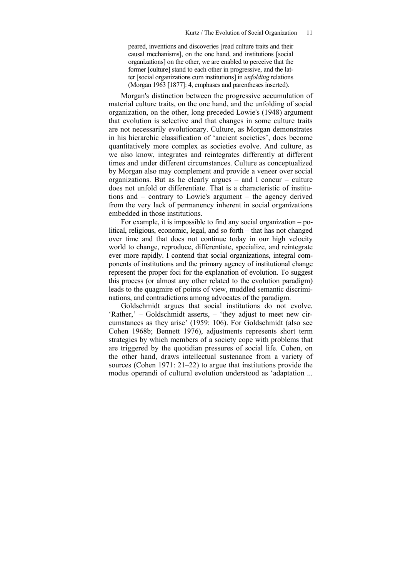peared, inventions and discoveries [read culture traits and their causal mechanisms], on the one hand, and institutions [social organizations] on the other, we are enabled to perceive that the former [culture] stand to each other in progressive, and the latter [social organizations cum institutions] in *unfolding* relations (Morgan 1963 [1877]: 4, emphases and parentheses inserted).

Morgan's distinction between the progressive accumulation of material culture traits, on the one hand, and the unfolding of social organization, on the other, long preceded Lowie's (1948) argument that evolution is selective and that changes in some culture traits are not necessarily evolutionary. Culture, as Morgan demonstrates in his hierarchic classification of 'ancient societies', does become quantitatively more complex as societies evolve. And culture, as we also know, integrates and reintegrates differently at different times and under different circumstances. Culture as conceptualized by Morgan also may complement and provide a veneer over social organizations. But as he clearly argues – and I concur – culture does not unfold or differentiate. That is a characteristic of institutions and – contrary to Lowie's argument – the agency derived from the very lack of permanency inherent in social organizations embedded in those institutions.

For example, it is impossible to find any social organization – political, religious, economic, legal, and so forth – that has not changed over time and that does not continue today in our high velocity world to change, reproduce, differentiate, specialize, and reintegrate ever more rapidly. I contend that social organizations, integral components of institutions and the primary agency of institutional change represent the proper foci for the explanation of evolution. To suggest this process (or almost any other related to the evolution paradigm) leads to the quagmire of points of view, muddled semantic discriminations, and contradictions among advocates of the paradigm.

Goldschmidt argues that social institutions do not evolve. 'Rather,' – Goldschmidt asserts, – 'they adjust to meet new circumstances as they arise' (1959: 106). For Goldschmidt (also see Cohen 1968b; Bennett 1976), adjustments represents short term strategies by which members of a society cope with problems that are triggered by the quotidian pressures of social life. Cohen, on the other hand, draws intellectual sustenance from a variety of sources (Cohen 1971: 21–22) to argue that institutions provide the modus operandi of cultural evolution understood as 'adaptation ...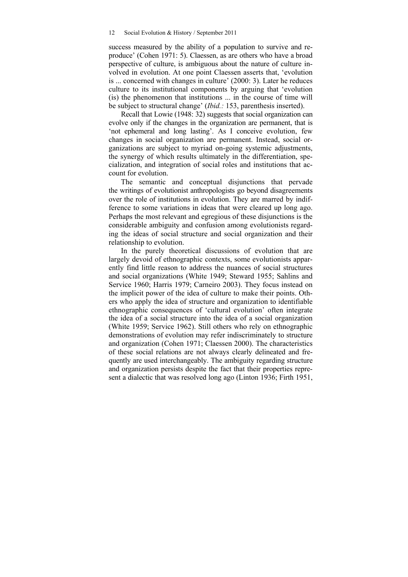success measured by the ability of a population to survive and reproduce' (Сohen 1971: 5). Claessen, as are others who have a broad perspective of culture, is ambiguous about the nature of culture involved in evolution. At one point Claessen asserts that, 'evolution is ... concerned with changes in culture' (2000: 3). Later he reduces culture to its institutional components by arguing that 'evolution (is) the phenomenon that institutions ... in the course of time will be subject to structural change' (*Ibid.:* 153, parenthesis inserted).

Recall that Lowie (1948: 32) suggests that social organization can evolve only if the changes in the organization are permanent, that is 'not ephemeral and long lasting'. As I conceive evolution, few changes in social organization are permanent. Instead, social organizations are subject to myriad on-going systemic adjustments, the synergy of which results ultimately in the differentiation, specialization, and integration of social roles and institutions that account for evolution.

The semantic and conceptual disjunctions that pervade the writings of evolutionist anthropologists go beyond disagreements over the role of institutions in evolution. They are marred by indifference to some variations in ideas that were cleared up long ago. Perhaps the most relevant and egregious of these disjunctions is the considerable ambiguity and confusion among evolutionists regarding the ideas of social structure and social organization and their relationship to evolution.

In the purely theoretical discussions of evolution that are largely devoid of ethnographic contexts, some evolutionists apparently find little reason to address the nuances of social structures and social organizations (White 1949; Steward 1955; Sahlins and Service 1960; Harris 1979; Carneiro 2003). They focus instead on the implicit power of the idea of culture to make their points. Others who apply the idea of structure and organization to identifiable ethnographic consequences of 'cultural evolution' often integrate the idea of a social structure into the idea of a social organization (White 1959; Service 1962). Still others who rely on ethnographic demonstrations of evolution may refer indiscriminately to structure and organization (Cohen 1971; Claessen 2000). The characteristics of these social relations are not always clearly delineated and frequently are used interchangeably. The ambiguity regarding structure and organization persists despite the fact that their properties represent a dialectic that was resolved long ago (Linton 1936; Firth 1951,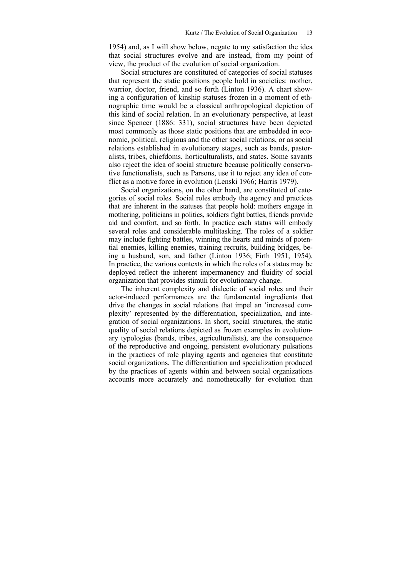1954) and, as I will show below, negate to my satisfaction the idea that social structures evolve and are instead, from my point of view, the product of the evolution of social organization.

Social structures are constituted of categories of social statuses that represent the static positions people hold in societies: mother, warrior, doctor, friend, and so forth (Linton 1936). A chart showing a configuration of kinship statuses frozen in a moment of ethnographic time would be a classical anthropological depiction of this kind of social relation. In an evolutionary perspective, at least since Spencer (1886: 331), social structures have been depicted most commonly as those static positions that are embedded in economic, political, religious and the other social relations, or as social relations established in evolutionary stages, such as bands, pastoralists, tribes, chiefdoms, horticulturalists, and states. Some savants also reject the idea of social structure because politically conservative functionalists, such as Parsons, use it to reject any idea of conflict as a motive force in evolution (Lenski 1966; Harris 1979).

Social organizations, on the other hand, are constituted of categories of social roles. Social roles embody the agency and practices that are inherent in the statuses that people hold: mothers engage in mothering, politicians in politics, soldiers fight battles, friends provide aid and comfort, and so forth. In practice each status will embody several roles and considerable multitasking. The roles of a soldier may include fighting battles, winning the hearts and minds of potential enemies, killing enemies, training recruits, building bridges, being a husband, son, and father (Linton 1936; Firth 1951, 1954). In practice, the various contexts in which the roles of a status may be deployed reflect the inherent impermanency and fluidity of social organization that provides stimuli for evolutionary change.

The inherent complexity and dialectic of social roles and their actor-induced performances are the fundamental ingredients that drive the changes in social relations that impel an 'increased complexity' represented by the differentiation, specialization, and integration of social organizations. In short, social structures, the static quality of social relations depicted as frozen examples in evolutionary typologies (bands, tribes, agriculturalists), are the consequence of the reproductive and ongoing, persistent evolutionary pulsations in the practices of role playing agents and agencies that constitute social organizations. The differentiation and specialization produced by the practices of agents within and between social organizations accounts more accurately and nomothetically for evolution than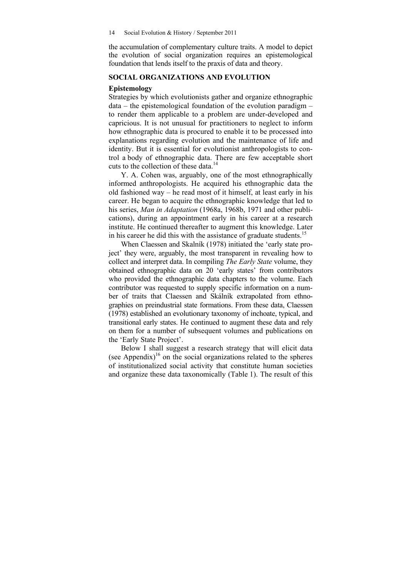the accumulation of complementary culture traits. A model to depict the evolution of social organization requires an epistemological foundation that lends itself to the praxis of data and theory.

### **SOCIAL ORGANIZATIONS AND EVOLUTION**

#### **Epistemology**

Strategies by which evolutionists gather and organize ethnographic data – the epistemological foundation of the evolution paradigm – to render them applicable to a problem are under-developed and capricious. It is not unusual for practitioners to neglect to inform how ethnographic data is procured to enable it to be processed into explanations regarding evolution and the maintenance of life and identity. But it is essential for evolutionist anthropologists to control a body of ethnographic data. There are few acceptable short cuts to the collection of these data.<sup>14</sup>

Y. A. Cohen was, arguably, one of the most ethnographically informed anthropologists. He acquired his ethnographic data the old fashioned way – he read most of it himself, at least early in his career. He began to acquire the ethnographic knowledge that led to his series, *Man in Adaptation* (1968a, 1968b, 1971 and other publications), during an appointment early in his career at a research institute. He continued thereafter to augment this knowledge. Later in his career he did this with the assistance of graduate students.<sup>15</sup>

When Claessen and Skalník (1978) initiated the 'early state project' they were, arguably, the most transparent in revealing how to collect and interpret data. In compiling *The Early State* volume, they obtained ethnographic data on 20 'early states' from contributors who provided the ethnographic data chapters to the volume. Each contributor was requested to supply specific information on a number of traits that Claessen and Skálník extrapolated from ethnographies on preindustrial state formations. From these data, Claessen (1978) established an evolutionary taxonomy of inchoate, typical, and transitional early states. He continued to augment these data and rely on them for a number of subsequent volumes and publications on the 'Early State Project'.

Below I shall suggest a research strategy that will elicit data (see Appendix)<sup>16</sup> on the social organizations related to the spheres of institutionalized social activity that constitute human societies and organize these data taxonomically (Table 1). The result of this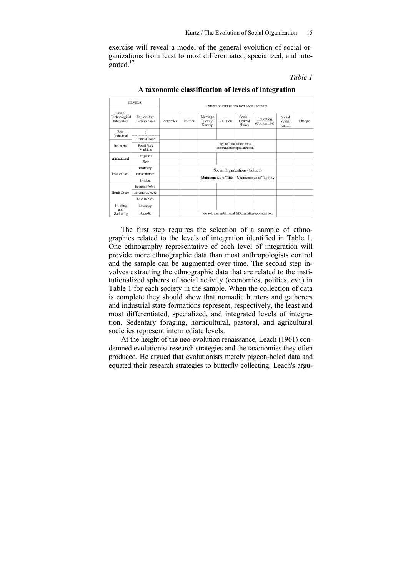exercise will reveal a model of the general evolution of social organizations from least to most differentiated, specialized, and integrated.<sup>17</sup>

*Table 1* 

| <b>LEVELS</b>                          |                                 | Spheres of Institutionalized Social Activity |                                                                                                                                                                    |                                                           |  |  |  |  |  |
|----------------------------------------|---------------------------------|----------------------------------------------|--------------------------------------------------------------------------------------------------------------------------------------------------------------------|-----------------------------------------------------------|--|--|--|--|--|
| Socio-<br>Technological<br>Integration | Exploitative<br>Technologies    | Economies                                    | Marriage<br>Social<br>Social<br>Education<br><b>Politics</b><br>Religion<br>Family<br>Control<br>Change<br>Stratifi-<br>(Conformity)<br>Kinship<br>(Law)<br>cation |                                                           |  |  |  |  |  |
| Post-<br>Industrial                    | Ŷ.                              |                                              |                                                                                                                                                                    |                                                           |  |  |  |  |  |
|                                        | Liminal Phase                   |                                              |                                                                                                                                                                    |                                                           |  |  |  |  |  |
| Industrial                             | <b>Fossil Fuels</b><br>Machines |                                              | high role and institutional<br>differentiation/specialization                                                                                                      |                                                           |  |  |  |  |  |
| Agricultural                           | Irrigation                      |                                              |                                                                                                                                                                    |                                                           |  |  |  |  |  |
|                                        | Plow                            |                                              |                                                                                                                                                                    |                                                           |  |  |  |  |  |
|                                        | Predatory                       |                                              | Social Organizations (Culture)                                                                                                                                     |                                                           |  |  |  |  |  |
| Pastoralism                            | Transhumance                    |                                              |                                                                                                                                                                    |                                                           |  |  |  |  |  |
|                                        | Herding                         |                                              | Maintenance of Life - Maintenance of Identity                                                                                                                      |                                                           |  |  |  |  |  |
|                                        | Intensive 60%+                  |                                              |                                                                                                                                                                    |                                                           |  |  |  |  |  |
| Horticulture                           | Medium 30-60%                   |                                              |                                                                                                                                                                    |                                                           |  |  |  |  |  |
|                                        | Low 10-30%                      |                                              |                                                                                                                                                                    |                                                           |  |  |  |  |  |
| Hunting<br>and                         | Sedentary                       |                                              |                                                                                                                                                                    |                                                           |  |  |  |  |  |
| Gathering                              | Nomadic                         |                                              |                                                                                                                                                                    | low role and institutional differentiation/specialization |  |  |  |  |  |

**A taxonomic classification of levels of integration** 

The first step requires the selection of a sample of ethnographies related to the levels of integration identified in Table 1. One ethnography representative of each level of integration will provide more ethnographic data than most anthropologists control and the sample can be augmented over time. The second step involves extracting the ethnographic data that are related to the institutionalized spheres of social activity (economics, politics, *etc.*) in Table 1 for each society in the sample. When the collection of data is complete they should show that nomadic hunters and gatherers and industrial state formations represent, respectively, the least and most differentiated, specialized, and integrated levels of integration. Sedentary foraging, horticultural, pastoral, and agricultural societies represent intermediate levels.

At the height of the neo-evolution renaissance, Leach (1961) condemned evolutionist research strategies and the taxonomies they often produced. He argued that evolutionists merely pigeon-holed data and equated their research strategies to butterfly collecting. Leach's argu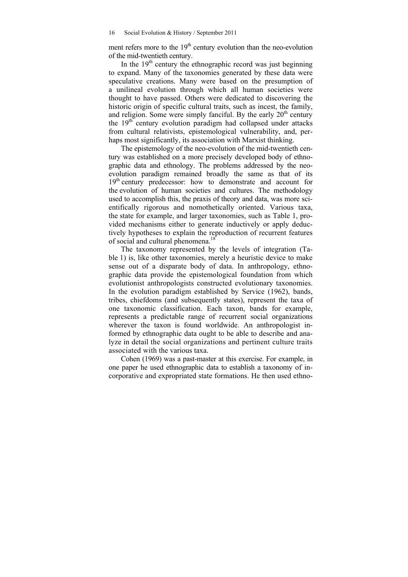ment refers more to the  $19<sup>th</sup>$  century evolution than the neo-evolution of the mid-twentieth century.

In the  $19<sup>th</sup>$  century the ethnographic record was just beginning to expand. Many of the taxonomies generated by these data were speculative creations. Many were based on the presumption of a unilineal evolution through which all human societies were thought to have passed. Others were dedicated to discovering the historic origin of specific cultural traits, such as incest, the family, and religion. Some were simply fanciful. By the early  $20<sup>th</sup>$  century the 19<sup>th</sup> century evolution paradigm had collapsed under attacks from cultural relativists, epistemological vulnerability, and, perhaps most significantly, its association with Marxist thinking.

The epistemology of the neo-evolution of the mid-twentieth century was established on a more precisely developed body of ethnographic data and ethnology. The problems addressed by the neoevolution paradigm remained broadly the same as that of its 19<sup>th</sup> century predecessor: how to demonstrate and account for the evolution of human societies and cultures. The methodology used to accomplish this, the praxis of theory and data, was more scientifically rigorous and nomothetically oriented. Various taxa, the state for example, and larger taxonomies, such as Table 1, provided mechanisms either to generate inductively or apply deductively hypotheses to explain the reproduction of recurrent features of social and cultural phenomena.<sup>18</sup>

The taxonomy represented by the levels of integration (Table 1) is, like other taxonomies, merely a heuristic device to make sense out of a disparate body of data. In anthropology, ethnographic data provide the epistemological foundation from which evolutionist anthropologists constructed evolutionary taxonomies. In the evolution paradigm established by Service (1962), bands, tribes, chiefdoms (and subsequently states), represent the taxa of one taxonomic classification. Each taxon, bands for example, represents a predictable range of recurrent social organizations wherever the taxon is found worldwide. An anthropologist informed by ethnographic data ought to be able to describe and analyze in detail the social organizations and pertinent culture traits associated with the various taxa.

Cohen (1969) was a past-master at this exercise. For example, in one paper he used ethnographic data to establish a taxonomy of incorporative and expropriated state formations. He then used ethno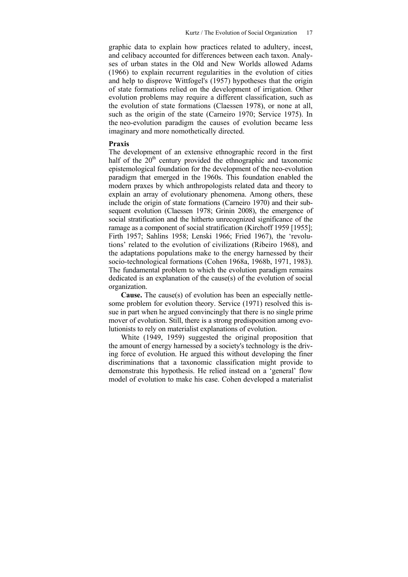graphic data to explain how practices related to adultery, incest, and celibacy accounted for differences between each taxon. Analyses of urban states in the Old and New Worlds allowed Adams (1966) to explain recurrent regularities in the evolution of cities and help to disprove Wittfogel's (1957) hypotheses that the origin of state formations relied on the development of irrigation. Other evolution problems may require a different classification, such as the evolution of state formations (Claessen 1978), or none at all, such as the origin of the state (Carneiro 1970; Service 1975). In the neo-evolution paradigm the causes of evolution became less imaginary and more nomothetically directed.

#### **Praxis**

The development of an extensive ethnographic record in the first half of the  $20<sup>th</sup>$  century provided the ethnographic and taxonomic epistemological foundation for the development of the neo-evolution paradigm that emerged in the 1960s. This foundation enabled the modern praxes by which anthropologists related data and theory to explain an array of evolutionary phenomena. Among others, these include the origin of state formations (Carneiro 1970) and their subsequent evolution (Claessen 1978; Grinin 2008), the emergence of social stratification and the hitherto unrecognized significance of the ramage as a component of social stratification (Kirchoff 1959 [1955]; Firth 1957; Sahlins 1958; Lenski 1966; Fried 1967), the 'revolutions' related to the evolution of civilizations (Ribeiro 1968), and the adaptations populations make to the energy harnessed by their socio-technological formations (Cohen 1968a, 1968b, 1971, 1983). The fundamental problem to which the evolution paradigm remains dedicated is an explanation of the cause(s) of the evolution of social organization.

**Cause.** The cause(s) of evolution has been an especially nettlesome problem for evolution theory. Service (1971) resolved this issue in part when he argued convincingly that there is no single prime mover of evolution. Still, there is a strong predisposition among evolutionists to rely on materialist explanations of evolution.

White (1949, 1959) suggested the original proposition that the amount of energy harnessed by a society's technology is the driving force of evolution. He argued this without developing the finer discriminations that a taxonomic classification might provide to demonstrate this hypothesis. He relied instead on a 'general' flow model of evolution to make his case. Cohen developed a materialist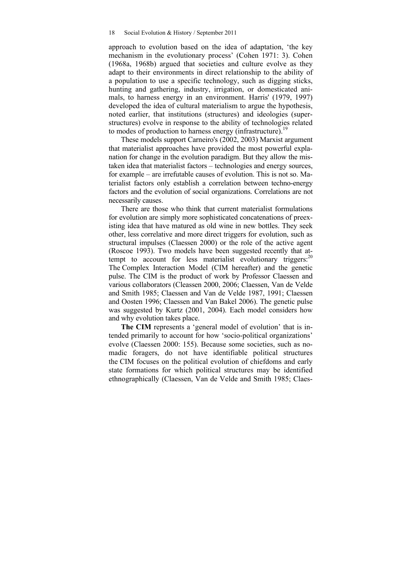approach to evolution based on the idea of adaptation, 'the key mechanism in the evolutionary process' (Cohen 1971: 3). Cohen (1968a, 1968b) argued that societies and culture evolve as they adapt to their environments in direct relationship to the ability of a population to use a specific technology, such as digging sticks, hunting and gathering, industry, irrigation, or domesticated animals, to harness energy in an environment. Harris' (1979, 1997) developed the idea of cultural materialism to argue the hypothesis, noted earlier, that institutions (structures) and ideologies (superstructures) evolve in response to the ability of technologies related to modes of production to harness energy (infrastructure).<sup>1</sup>

These models support Carneiro's (2002, 2003) Marxist argument that materialist approaches have provided the most powerful explanation for change in the evolution paradigm. But they allow the mistaken idea that materialist factors – technologies and energy sources, for example – are irrefutable causes of evolution. This is not so. Materialist factors only establish a correlation between techno-energy factors and the evolution of social organizations. Correlations are not necessarily causes.

There are those who think that current materialist formulations for evolution are simply more sophisticated concatenations of preexisting idea that have matured as old wine in new bottles. They seek other, less correlative and more direct triggers for evolution, such as structural impulses (Claessen 2000) or the role of the active agent (Roscoe 1993). Two models have been suggested recently that attempt to account for less materialist evolutionary triggers: $20$ The Complex Interaction Model (CIM hereafter) and the genetic pulse. The CIM is the product of work by Professor Claessen and various collaborators (Cleassen 2000, 2006; Claessen, Van de Velde and Smith 1985; Claessen and Van de Velde 1987, 1991; Claessen and Oosten 1996; Claessen and Van Bakel 2006). The genetic pulse was suggested by Kurtz (2001, 2004). Each model considers how and why evolution takes place.

**The CIM** represents a 'general model of evolution' that is intended primarily to account for how 'socio-political organizations' evolve (Claessen 2000: 155). Because some societies, such as nomadic foragers, do not have identifiable political structures the CIM focuses on the political evolution of chiefdoms and early state formations for which political structures may be identified ethnographically (Claessen, Van de Velde and Smith 1985; Claes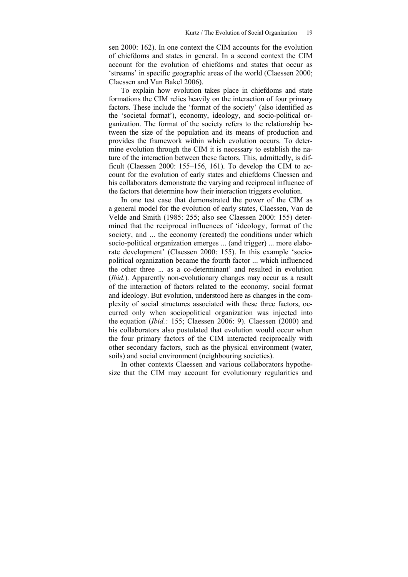sen 2000: 162). In one context the CIM accounts for the evolution of chiefdoms and states in general. In a second context the CIM account for the evolution of chiefdoms and states that occur as 'streams' in specific geographic areas of the world (Claessen 2000; Claessen and Van Bakel 2006).

To explain how evolution takes place in chiefdoms and state formations the CIM relies heavily on the interaction of four primary factors. These include the 'format of the society' (also identified as the 'societal format'), economy, ideology, and socio-political organization. The format of the society refers to the relationship between the size of the population and its means of production and provides the framework within which evolution occurs. To determine evolution through the CIM it is necessary to establish the nature of the interaction between these factors. This, admittedly, is difficult (Claessen 2000: 155–156, 161). To develop the CIM to account for the evolution of early states and chiefdoms Claessen and his collaborators demonstrate the varying and reciprocal influence of the factors that determine how their interaction triggers evolution.

In one test case that demonstrated the power of the CIM as a general model for the evolution of early states, Claessen, Van de Velde and Smith (1985: 255; also see Claessen 2000: 155) determined that the reciprocal influences of 'ideology, format of the society, and ... the economy (created) the conditions under which socio-political organization emerges ... (and trigger) ... more elaborate development' (Claessen 2000: 155). In this example 'sociopolitical organization became the fourth factor ... which influenced the other three ... as a co-determinant' and resulted in evolution (*Ibid.*). Apparently non-evolutionary changes may occur as a result of the interaction of factors related to the economy, social format and ideology. But evolution, understood here as changes in the complexity of social structures associated with these three factors, occurred only when sociopolitical organization was injected into the equation (*Ibid.:* 155; Claessen 2006: 9). Claessen (2000) and his collaborators also postulated that evolution would occur when the four primary factors of the CIM interacted reciprocally with other secondary factors, such as the physical environment (water, soils) and social environment (neighbouring societies).

In other contexts Claessen and various collaborators hypothesize that the CIM may account for evolutionary regularities and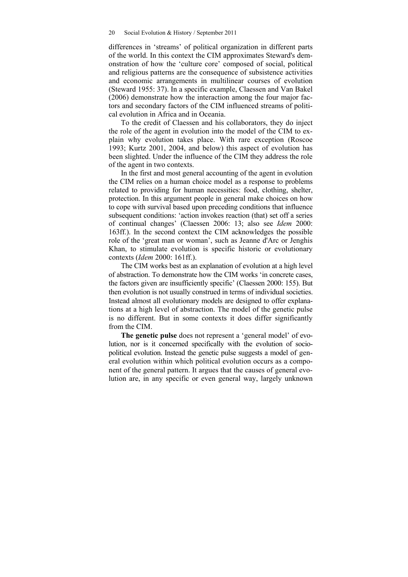differences in 'streams' of political organization in different parts of the world. In this context the CIM approximates Steward's demonstration of how the 'culture core' composed of social, political and religious patterns are the consequence of subsistence activities and economic arrangements in multilinear courses of evolution (Steward 1955: 37). In a specific example, Claessen and Van Bakel (2006) demonstrate how the interaction among the four major factors and secondary factors of the CIM influenced streams of political evolution in Africa and in Oceania.

To the credit of Claessen and his collaborators, they do inject the role of the agent in evolution into the model of the CIM to explain why evolution takes place. With rare exception (Roscoe 1993; Kurtz 2001, 2004, and below) this aspect of evolution has been slighted. Under the influence of the CIM they address the role of the agent in two contexts.

In the first and most general accounting of the agent in evolution the CIM relies on a human choice model as a response to problems related to providing for human necessities: food, clothing, shelter, protection. In this argument people in general make choices on how to cope with survival based upon preceding conditions that influence subsequent conditions: 'action invokes reaction (that) set off a series of continual changes' (Claessen 2006: 13; also see *Idem* 2000: 163ff.). In the second context the CIM acknowledges the possible role of the 'great man or woman', such as Jeanne d'Arc or Jenghis Khan, to stimulate evolution is specific historic or evolutionary contexts (*Idem* 2000: 161ff.).

The CIM works best as an explanation of evolution at a high level of abstraction. To demonstrate how the CIM works 'in concrete cases, the factors given are insufficiently specific' (Claessen 2000: 155). But then evolution is not usually construed in terms of individual societies. Instead almost all evolutionary models are designed to offer explanations at a high level of abstraction. The model of the genetic pulse is no different. But in some contexts it does differ significantly from the CIM.

**The genetic pulse** does not represent a 'general model' of evolution, nor is it concerned specifically with the evolution of sociopolitical evolution. Instead the genetic pulse suggests a model of general evolution within which political evolution occurs as a component of the general pattern. It argues that the causes of general evolution are, in any specific or even general way, largely unknown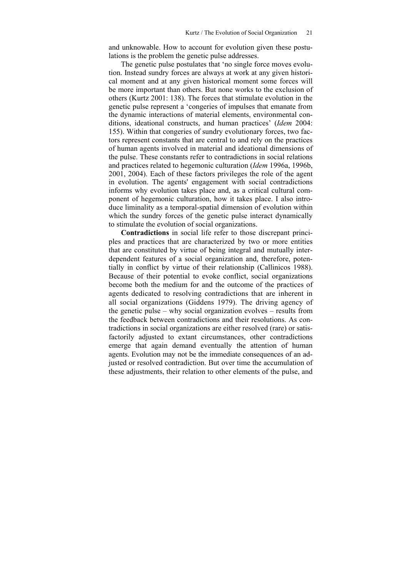and unknowable. How to account for evolution given these postulations is the problem the genetic pulse addresses.

The genetic pulse postulates that 'no single force moves evolution. Instead sundry forces are always at work at any given historical moment and at any given historical moment some forces will be more important than others. But none works to the exclusion of others (Kurtz 2001: 138). The forces that stimulate evolution in the genetic pulse represent a 'congeries of impulses that emanate from the dynamic interactions of material elements, environmental conditions, ideational constructs, and human practices' (*Idem* 2004: 155). Within that congeries of sundry evolutionary forces, two factors represent constants that are central to and rely on the practices of human agents involved in material and ideational dimensions of the pulse. These constants refer to contradictions in social relations and practices related to hegemonic culturation (*Idem* 1996a, 1996b, 2001, 2004). Each of these factors privileges the role of the agent in evolution. The agents' engagement with social contradictions informs why evolution takes place and, as a critical cultural component of hegemonic culturation, how it takes place. I also introduce liminality as a temporal-spatial dimension of evolution within which the sundry forces of the genetic pulse interact dynamically to stimulate the evolution of social organizations.

**Contradictions** in social life refer to those discrepant principles and practices that are characterized by two or more entities that are constituted by virtue of being integral and mutually interdependent features of a social organization and, therefore, potentially in conflict by virtue of their relationship (Callinicos 1988). Because of their potential to evoke conflict, social organizations become both the medium for and the outcome of the practices of agents dedicated to resolving contradictions that are inherent in all social organizations (Giddens 1979). The driving agency of the genetic pulse – why social organization evolves – results from the feedback between contradictions and their resolutions. As contradictions in social organizations are either resolved (rare) or satisfactorily adjusted to extant circumstances, other contradictions emerge that again demand eventually the attention of human agents. Evolution may not be the immediate consequences of an adjusted or resolved contradiction. But over time the accumulation of these adjustments, their relation to other elements of the pulse, and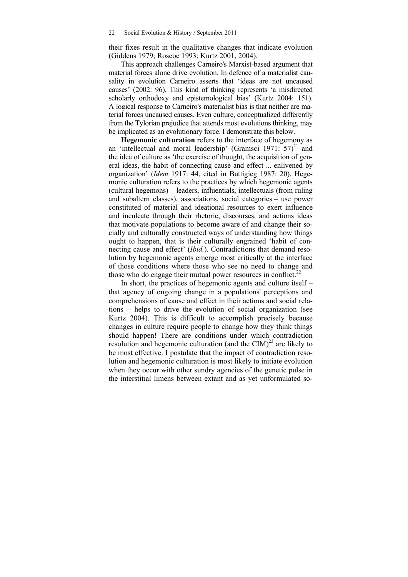their fixes result in the qualitative changes that indicate evolution (Giddens 1979; Roscoe 1993; Kurtz 2001, 2004).

This approach challenges Carneiro's Marxist-based argument that material forces alone drive evolution. In defence of a materialist causality in evolution Carneiro asserts that 'ideas are not uncaused causes' (2002: 96). This kind of thinking represents 'a misdirected scholarly orthodoxy and epistemological bias' (Kurtz 2004: 151). A logical response to Carneiro's materialist bias is that neither are material forces uncaused causes. Even culture, conceptualized differently from the Tylorian prejudice that attends most evolutions thinking, may be implicated as an evolutionary force. I demonstrate this below.

**Hegemonic culturation** refers to the interface of hegemony as an 'intellectual and moral leadership' (Gramsci 1971:  $57$ )<sup>21</sup> and the idea of culture as 'the exercise of thought, the acquisition of general ideas, the habit of connecting cause and effect ... enlivened by organization' (*Idem* 1917: 44, cited in Buttigieg 1987: 20). Hegemonic culturation refers to the practices by which hegemonic agents (cultural hegemons) – leaders, influentials, intellectuals (from ruling and subaltern classes), associations, social categories – use power constituted of material and ideational resources to exert influence and inculcate through their rhetoric, discourses, and actions ideas that motivate populations to become aware of and change their socially and culturally constructed ways of understanding how things ought to happen, that is their culturally engrained 'habit of connecting cause and effect' (*Ibid.*). Contradictions that demand resolution by hegemonic agents emerge most critically at the interface of those conditions where those who see no need to change and those who do engage their mutual power resources in conflict.<sup>22</sup>

In short, the practices of hegemonic agents and culture itself – that agency of ongoing change in a populations' perceptions and comprehensions of cause and effect in their actions and social relations – helps to drive the evolution of social organization (see Kurtz 2004). This is difficult to accomplish precisely because changes in culture require people to change how they think things should happen! There are conditions under which contradiction resolution and hegemonic culturation (and the  $CIM$ )<sup>23</sup> are likely to be most effective. I postulate that the impact of contradiction resolution and hegemonic culturation is most likely to initiate evolution when they occur with other sundry agencies of the genetic pulse in the interstitial limens between extant and as yet unformulated so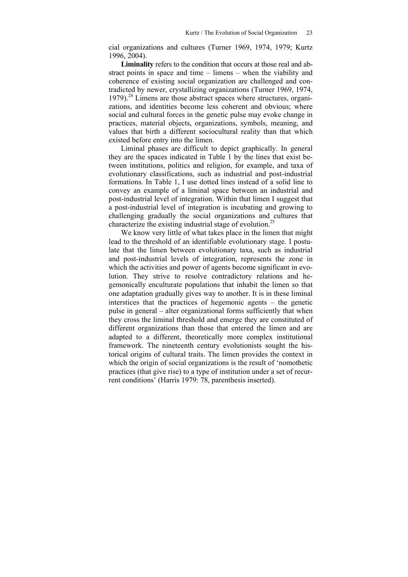cial organizations and cultures (Turner 1969, 1974, 1979; Kurtz 1996, 2004).

**Liminality** refers to the condition that occurs at those real and abstract points in space and time – limens – when the viability and coherence of existing social organization are challenged and contradicted by newer, crystallizing organizations (Turner 1969, 1974, 1979). $^{24}$  Limens are those abstract spaces where structures, organizations, and identities become less coherent and obvious; where social and cultural forces in the genetic pulse may evoke change in practices, material objects, organizations, symbols, meaning, and values that birth a different sociocultural reality than that which existed before entry into the limen.

Liminal phases are difficult to depict graphically. In general they are the spaces indicated in Table 1 by the lines that exist between institutions, politics and religion, for example, and taxa of evolutionary classifications, such as industrial and post-industrial formations. In Table 1, I use dotted lines instead of a solid line to convey an example of a liminal space between an industrial and post-industrial level of integration. Within that limen I suggest that a post-industrial level of integration is incubating and growing to challenging gradually the social organizations and cultures that characterize the existing industrial stage of evolution.<sup>25</sup>

We know very little of what takes place in the limen that might lead to the threshold of an identifiable evolutionary stage. I postulate that the limen between evolutionary taxa, such as industrial and post-industrial levels of integration, represents the zone in which the activities and power of agents become significant in evolution. They strive to resolve contradictory relations and hegemonically enculturate populations that inhabit the limen so that one adaptation gradually gives way to another. It is in these liminal interstices that the practices of hegemonic agents – the genetic pulse in general – alter organizational forms sufficiently that when they cross the liminal threshold and emerge they are constituted of different organizations than those that entered the limen and are adapted to a different, theoretically more complex institutional framework. The nineteenth century evolutionists sought the historical origins of cultural traits. The limen provides the context in which the origin of social organizations is the result of 'nomothetic practices (that give rise) to a type of institution under a set of recurrent conditions' (Harris 1979: 78, parenthesis inserted).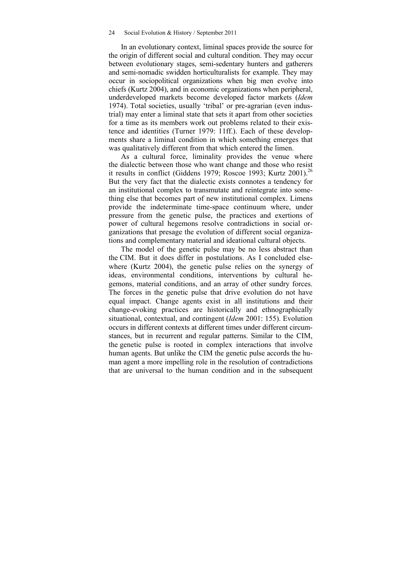In an evolutionary context, liminal spaces provide the source for the origin of different social and cultural condition. They may occur between evolutionary stages, semi-sedentary hunters and gatherers and semi-nomadic swidden horticulturalists for example. They may occur in sociopolitical organizations when big men evolve into chiefs (Kurtz 2004), and in economic organizations when peripheral, underdeveloped markets become developed factor markets (*Idem* 1974). Total societies, usually 'tribal' or pre-agrarian (even industrial) may enter a liminal state that sets it apart from other societies for a time as its members work out problems related to their existence and identities (Turner 1979: 11ff.). Each of these developments share a liminal condition in which something emerges that was qualitatively different from that which entered the limen.

As a cultural force, liminality provides the venue where the dialectic between those who want change and those who resist it results in conflict (Giddens 1979; Roscoe 1993; Kurtz 2001).<sup>26</sup> But the very fact that the dialectic exists connotes a tendency for an institutional complex to transmutate and reintegrate into something else that becomes part of new institutional complex. Limens provide the indeterminate time-space continuum where, under pressure from the genetic pulse, the practices and exertions of power of cultural hegemons resolve contradictions in social organizations that presage the evolution of different social organizations and complementary material and ideational cultural objects.

The model of the genetic pulse may be no less abstract than the CIM. But it does differ in postulations. As I concluded elsewhere (Kurtz 2004), the genetic pulse relies on the synergy of ideas, environmental conditions, interventions by cultural hegemons, material conditions, and an array of other sundry forces. The forces in the genetic pulse that drive evolution do not have equal impact. Change agents exist in all institutions and their change-evoking practices are historically and ethnographically situational, contextual, and contingent (*Idem* 2001: 155). Evolution occurs in different contexts at different times under different circumstances, but in recurrent and regular patterns. Similar to the CIM, the genetic pulse is rooted in complex interactions that involve human agents. But unlike the CIM the genetic pulse accords the human agent a more impelling role in the resolution of contradictions that are universal to the human condition and in the subsequent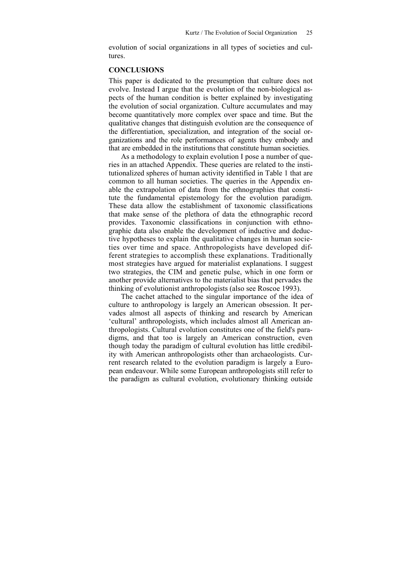evolution of social organizations in all types of societies and cultures.

## **CONCLUSIONS**

This paper is dedicated to the presumption that culture does not evolve. Instead I argue that the evolution of the non-biological aspects of the human condition is better explained by investigating the evolution of social organization. Culture accumulates and may become quantitatively more complex over space and time. But the qualitative changes that distinguish evolution are the consequence of the differentiation, specialization, and integration of the social organizations and the role performances of agents they embody and that are embedded in the institutions that constitute human societies.

As a methodology to explain evolution I pose a number of queries in an attached Appendix. These queries are related to the institutionalized spheres of human activity identified in Table 1 that are common to all human societies. The queries in the Appendix enable the extrapolation of data from the ethnographies that constitute the fundamental epistemology for the evolution paradigm. These data allow the establishment of taxonomic classifications that make sense of the plethora of data the ethnographic record provides. Taxonomic classifications in conjunction with ethnographic data also enable the development of inductive and deductive hypotheses to explain the qualitative changes in human societies over time and space. Anthropologists have developed different strategies to accomplish these explanations. Traditionally most strategies have argued for materialist explanations. I suggest two strategies, the CIM and genetic pulse, which in one form or another provide alternatives to the materialist bias that pervades the thinking of evolutionist anthropologists (also see Roscoe 1993).

The cachet attached to the singular importance of the idea of culture to anthropology is largely an American obsession. It pervades almost all aspects of thinking and research by American 'cultural' anthropologists, which includes almost all American anthropologists. Cultural evolution constitutes one of the field's paradigms, and that too is largely an American construction, even though today the paradigm of cultural evolution has little credibility with American anthropologists other than archaeologists. Current research related to the evolution paradigm is largely a European endeavour. While some European anthropologists still refer to the paradigm as cultural evolution, evolutionary thinking outside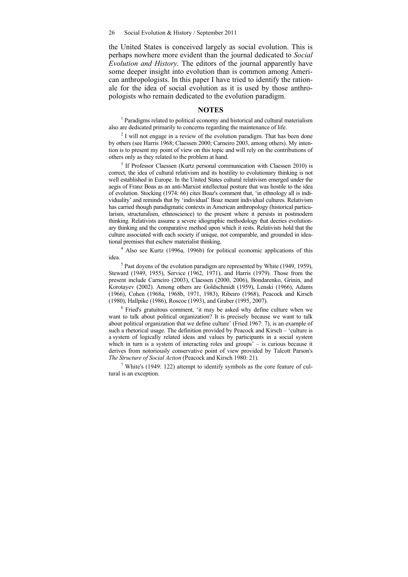the United States is conceived largely as social evolution. This is perhaps nowhere more evident than the journal dedicated to *Social Evolution and History.* The editors of the journal apparently have some deeper insight into evolution than is common among American anthropologists. In this paper I have tried to identify the rationale for the idea of social evolution as it is used by those anthropologists who remain dedicated to the evolution paradigm.

### **NOTES**

<sup>1</sup> Paradigms related to political economy and historical and cultural materialism also are dedicated primarily to concerns regarding the maintenance of life.

<sup>2</sup> I will not engage in a review of the evolution paradigm. That has been done by others (see Harris 1968; Claessen 2000; Carneiro 2003, among others). My intention is to present my point of view on this topic and will rely on the contributions of others only as they related to the problem at hand.

<sup>3</sup> If Professor Claessen (Kurtz personal communication with Claessen 2010) is correct, the idea of cultural relativism and its hostility to evolutionary thinking is not well established in Europe. In the United States cultural relativism emerged under the aegis of Franz Boas as an anti-Marxist intellectual posture that was hostile to the idea of evolution. Stocking (1974: 66) cites Boaz's comment that, 'in ethnology all is individuality' and reminds that by 'individual' Boaz meant individual cultures. Relativism has carried though paradigmatic contexts in American anthropology (historical particularism, structuralism, ethnoscience) to the present where it persists in postmodern thinking. Relativists assume a severe idiographic methodology that decries evolutionary thinking and the comparative method upon which it rests. Relativists hold that the culture associated with each society if unique, not comparable, and grounded in ideational premises that eschew materialist thinking.

<sup>4</sup> Also see Kurtz (1996a, 1996b) for political economic applications of this idea.

 $<sup>5</sup>$  Past doyens of the evolution paradigm are represented by White (1949, 1959),</sup> Steward (1949, 1955), Service (1962, 1971), and Harris (1979). Those from the present include Carneiro (2003), Claessen (2000, 2006), Bondarenko, Grinin, and Korotayev (2002). Among others are Goldschmidt (1959), Lenski (1966), Adams (1966), Cohen (1968a, 1968b, 1971, 1983), Ribeiro (1968), Peacock and Kirsch (1980), Hallpike (1986), Roscoe (1993), and Graber (1995, 2007).

6 Fried's gratuitous comment, 'it may be asked why define culture when we want to talk about political organization? It is precisely because we want to talk about political organization that we define culture' (Fried 1967: 7), is an example of such a rhetorical usage. The definition provided by Peacock and Kirsch – 'culture is a system of logically related ideas and values by participants in a social system which in turn is a system of interacting roles and groups<sup>'</sup> – is curious because it derives from notoriously conservative point of view provided by Talcott Parson's *The Structure of Social Action* (Peacock and Kirsch 1980: 21).

<sup>7</sup> White's (1949: 122) attempt to identify symbols as the core feature of cultural is an exception.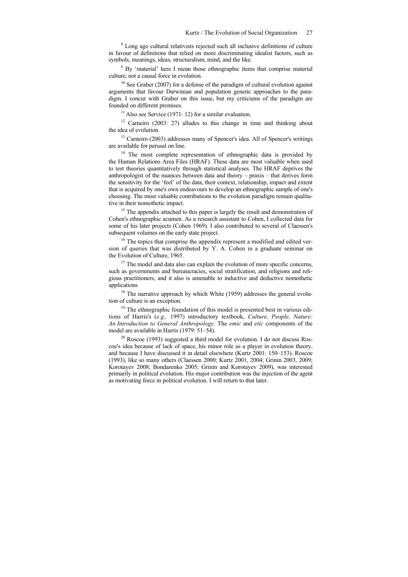<sup>8</sup> Long ago cultural relativists rejected such all inclusive definitions of culture in favour of definitions that relied on more discriminating idealist factors, such as symbols, meanings, ideas, structuralism, mind, and the like.

<sup>9</sup> By 'material' here I mean those ethnographic items that comprise material culture, not a causal force in evolution.

 $10$  See Graber (2007) for a defense of the paradigm of cultural evolution against arguments that favour Darwinian and population genetic approaches to the paradigm. I concur with Graber on this issue, but my criticisms of the paradigm are founded on different premises.

 $11$  Also see Service (1971: 12) for a similar evaluation.

<sup>12</sup> Carneiro (2003: 27) alludes to this change in time and thinking about the idea of evolution.

<sup>13</sup> Carneiro (2003) addresses many of Spencer's idea. All of Spencer's writings are available for perusal on line.

<sup>14</sup> The most complete representation of ethnographic data is provided by the Human Relations Area Files (HRAF). These data are most valuable when used to test theories quantitatively through statistical analyses. The HRAF deprives the anthropologist of the nuances between data and theory – praxis – that derives form the sensitivity for the 'feel' of the data, their context, relationship, impact and extent that is acquired by one's own endeavours to develop an ethnographic sample of one's choosing. The most valuable contributions to the evolution paradigm remain qualitative in their nomothetic impact.

<sup>15</sup> The appendix attached to this paper is largely the result and demonstration of Cohen's ethnographic acumen. As a research assistant to Cohen, I collected data for some of his later projects (Cohen 1969). I also contributed to several of Claessen's subsequent volumes on the early state project.

<sup>16</sup> The topics that comprise the appendix represent a modified and edited version of queries that was distributed by Y. A. Cohen in a graduate seminar on the Evolution of Culture, 1965.

 $17$  The model and data also can explain the evolution of more specific concerns, such as governments and bureaucracies, social stratification, and religions and religious practitioners, and it also is amenable to inductive and deductive nomothetic applications

 $18$  The narrative approach by which White (1959) addresses the general evolution of culture is an exception.

<sup>19</sup> The ethnographic foundation of this model is presented best in various editions of Harris's (*e.g.,* 1997) introductory textbook, *Culture, People, Nature: An Introduction to General Anthropology*. The *emic* and *etic* components of the model are available in Harris (1979: 51–54).

 $20$  Roscoe (1993) suggested a third model for evolution. I do not discuss Roscoe's idea because of lack of space, his minor role as a player in evolution theory, and because I have discussed it in detail elsewhere (Kurtz 2001: 150–153). Roscoe (1993), like so many others (Claessen 2000; Kurtz 2001, 2004; Grinin 2003, 2009; Korotayev 2008; Bondarenko 2005; Grinin and Korotayev 2009), was interested primarily in political evolution. His major contribution was the injection of the agent as motivating force in political evolution. I will return to that later.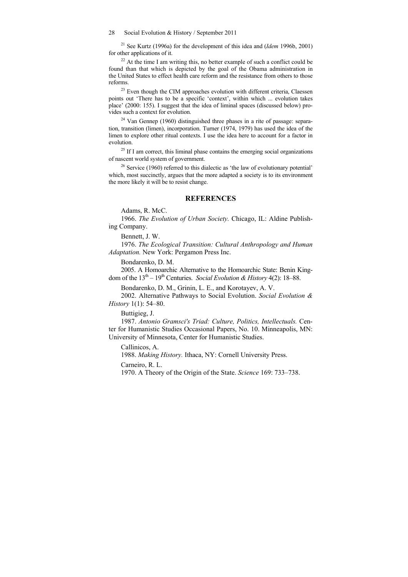21 See Kurtz (1996a) for the development of this idea and (*Idem* 1996b, 2001) for other applications of it.

<sup>22</sup> At the time I am writing this, no better example of such a conflict could be found than that which is depicted by the goal of the Obama administration in the United States to effect health care reform and the resistance from others to those reforms.

 $23$  Even though the CIM approaches evolution with different criteria, Claessen points out 'There has to be a specific 'context', within which ... evolution takes place' (2000: 155). I suggest that the idea of liminal spaces (discussed below) provides such a context for evolution.

 $24$  Van Gennep (1960) distinguished three phases in a rite of passage: separation, transition (limen), incorporation. Turner (1974, 1979) has used the idea of the limen to explore other ritual contexts. I use the idea here to account for a factor in evolution.

 $25$  If I am correct, this liminal phase contains the emerging social organizations of nascent world system of government.

 $26$  Service (1960) referred to this dialectic as 'the law of evolutionary potential' which, most succinctly, argues that the more adapted a society is to its environment the more likely it will be to resist change.

# **REFERENCES**

Adams, R. McC.

1966. *The Evolution of Urban Society.* Chicago, IL: Aldine Publishing Company.

Bennett, J. W.

1976. *The Ecological Transition: Cultural Anthropology and Human Adaptation.* New York: Pergamon Press Inc.

Bondarenko, D. M.

2005. A Homoarchic Alternative to the Homoarchic State: Benin Kingdom of the  $13<sup>th</sup> - 19<sup>th</sup>$  Centuries. *Social Evolution & History* 4(2): 18–88.

Bondarenko, D. M., Grinin, L. E., and Korotayev, A. V.

2002. Alternative Pathways to Social Evolution. *Social Evolution & History* 1(1): 54–80.

Buttigieg, J.

1987. *Antonio Gramsci's Triad: Culture, Politics, Intellectuals.* Center for Humanistic Studies Occasional Papers, No. 10. Minneapolis, MN: University of Minnesota, Center for Humanistic Studies.

Callinicos, A.

1988. *Making History.* Ithaca, NY: Cornell University Press.

Carneiro, R. L.

1970. A Theory of the Origin of the State. *Science* 169: 733–738.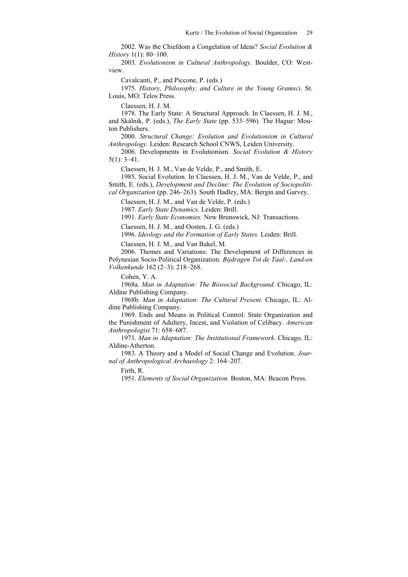2002. Was the Chiefdom a Congelation of Ideas? *Social Evolution & History* 1(1): 80–100.

2003. *Evolutionism in Cultural Anthropology.* Boulder, CO: Westview.

Cavalcanti, P., and Piccone, P. (eds.)

1975. *History, Philosophy, and Culture in the Young Gramsci*. St. Louis, MO: Telos Press.

Claessen, H. J. M.

1978. The Early State: A Structural Approach. In Claessen, H. J. M., and Skálnik, P. (eds.), *The Early State* (pp. 533–596)*.* The Hague: Mouton Publishers.

2000. *Structural Change: Evolution and Evolutionism in Cultural Anthropology.* Leiden: Research School CNWS, Leiden University.

2006. Developments in Evolutionism. *Social Evolution & History* 5(1): 3–41.

Claessen, H. J. M., Van de Velde, P., and Smith, E.

1985. Social Evolution. In Claessen, H. J. M., Van de Velde, P., and Smith, E. (eds.), *Development and Decline: The Evolution of Sociopolitical Organization* (pp. 246–263). South Hadley, MA: Bergin and Garvey.

Claessen, H. J. M., and Van de Velde, P. (eds.)

1987. *Early State Dynamics.* Leiden: Brill.

1991. *Early State Economies.* New Brunswick, NJ: Transactions.

Claessen, H. J. M., and Oosten, J. G. (eds.)

1996. *Ideology and the Formation of Early States.* Leiden: Brill.

Claessen, H. J. M., and Van Bakel, M.

2006. Themes and Variations: The Development of Differences in Polynesian Socio-Political Organization. *Bijdragen Tot de Taal-, Land-en Volkenkunde* 162 (2–3): 218–268.

Cohen, Y. A.

1968a. *Man in Adaptation: The Biosocial Background.* Chicago, IL: Aldine Publishing Company.

1968b. *Man in Adaptation: The Cultural Present.* Chicago, IL: Aldine Publishing Company.

1969. Ends and Means in Political Control: State Organization and the Punishment of Adultery, Incest, and Violation of Celibacy. *American Anthropologist* 71: 658–687.

1971. *Man in Adaptation: The Institutional Framework.* Chicago, IL: Aldine-Atherton.

1983. A Theory and a Model of Social Change and Evolution. *Journal of Anthropological Archaeology* 2: 164–207.

Firth, R.

1951. *Elements of Social Organization.* Boston, MA: Beacon Press.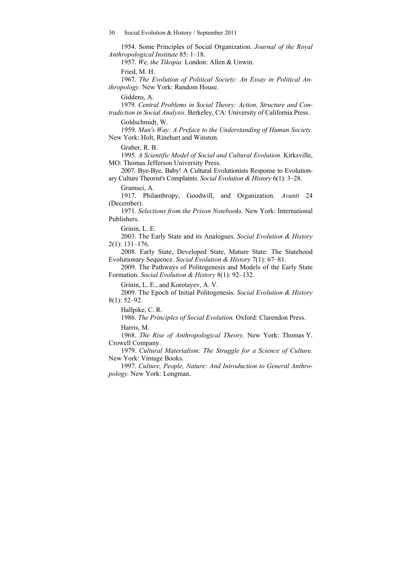1954. Some Principles of Social Organization. *Journal of the Royal Anthropological Institute* 85: 1–18.

1957. *We, the Tikopia.* London: Allen & Unwin.

Fried, M. H.

1967. *The Evolution of Political Society: An Essay in Political Anthropology.* New York: Random House.

Giddens, A.

1979. *Central Problems in Social Theory: Action, Structure and Contradiction in Social Analysis.* Berkeley, CA: University of California Press.

Goldschmidt, W.

1959. *Man's Way: A Preface to the Understanding of Human Society.* New York: Holt, Rinehart and Winston.

Graber, R. B.

1995. *A Scientific Model of Social and Cultural Evolution.* Kirksville, MO: Thomas Jefferson University Press.

2007. Bye-Bye, Baby! A Cultural Evolutionists Response to Evolutionary Culture Theorist's Complaints. *Social Evolution & History* 6(1): 3–28.

Gramsci, A.

1917. Philanthropy, Goodwill, and Organization. *Avanti* 24 (December).

1971. *Selections from the Prison Notebooks.* New York: International Publishers.

Grinin, L. E.

2003. The Early State and its Analogues. *Social Evolution & History* 2(1): 131–176.

2008. Early State, Developed State, Mature State: The Statehood Evolutionary Sequence. *Social Evolution & History* 7(1): 67–81.

2009. The Pathways of Politogenesis and Models of the Early State Formation. *Social Evolution & History* 8(1): 92–132.

Grinin, L. E., and Korotayev, A. V.

2009. The Epoch of Initial Politogenesis. *Social Evolution & History* 8(1): 52–92.

Hallpike, C. R.

1986. *The Principles of Social Evolution.* Oxford: Clarendon Press.

Harris, M.

1968. *The Rise of Anthropological Theory.* New York: Thomas Y. Crowell Company.

1979. *Cultural Materialism: The Struggle for a Science of Culture.* New York: Vintage Books.

1997. *Culture, People, Nature: And Introduction to General Anthropology.* New York: Longman.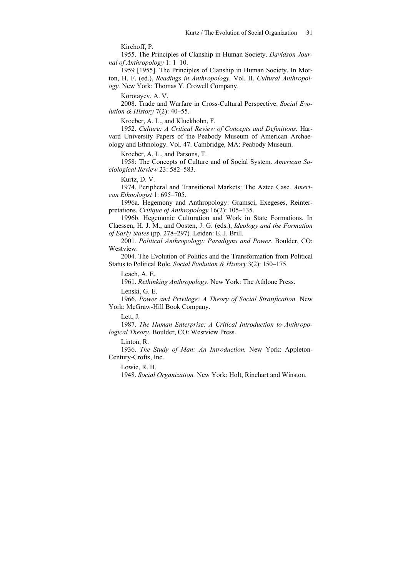Kirchoff, P.

1955. The Principles of Clanship in Human Society. *Davidson Journal of Anthropology* 1: 1–10.

1959 [1955]. The Principles of Clanship in Human Society. In Morton, H. F. (ed.), *Readings in Anthropology.* Vol. II. *Cultural Anthropology.* New York: Thomas Y. Crowell Company.

Korotayev, A. V.

2008. Trade and Warfare in Cross-Cultural Perspective. *Social Evolution & History* 7(2): 40–55.

Kroeber, A. L., and Kluckhohn, F.

1952. *Culture: A Critical Review of Concepts and Definitions.* Harvard University Papers of the Peabody Museum of American Archaeology and Ethnology. Vol. 47. Cambridge, MA: Peabody Museum.

Kroeber, A. L., and Parsons, T.

1958: The Concepts of Culture and of Social System. *American Sociological Review* 23: 582–583.

Kurtz, D. V.

1974. Peripheral and Transitional Markets: The Aztec Case. *American Ethnologist* 1: 695–705.

1996a. Hegemony and Anthropology: Gramsci, Exegeses, Reinterpretations. *Critique of Anthropology* 16(2): 105–135.

1996b. Hegemonic Culturation and Work in State Formations. In Claessen, H. J. M., and Oosten, J. G. (eds.), *Ideology and the Formation of Early States* (pp. 278–297)*.* Leiden: E. J. Brill.

2001*. Political Anthropology: Paradigms and Power.* Boulder, CO: Westview.

2004. The Evolution of Politics and the Transformation from Political Status to Political Role. *Social Evolution & History* 3(2): 150–175.

Leach, A. E.

1961. *Rethinking Anthropology.* New York: The Athlone Press.

Lenski, G. E.

1966. *Power and Privilege: A Theory of Social Stratification.* New York: McGraw-Hill Book Company.

Lett, J.

1987. *The Human Enterprise: A Critical Introduction to Anthropological Theory.* Boulder, CO: Westview Press.

Linton, R.

1936. *The Study of Man: An Introduction.* New York: Appleton-Century-Crofts, Inc.

Lowie, R. H.

1948. *Social Organization.* New York: Holt, Rinehart and Winston.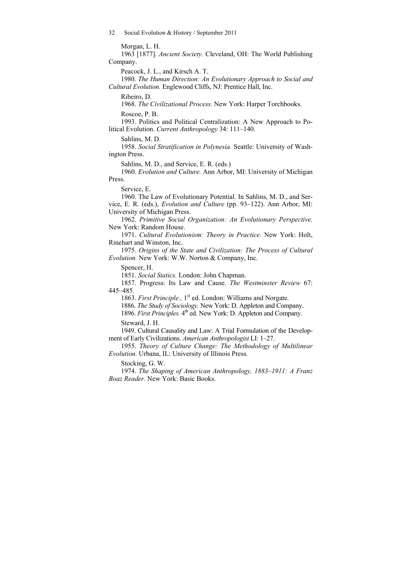Morgan, L. H.

1963 [1877]. *Ancient Society.* Cleveland, OH: The World Publishing Company.

Peacock, J. L., and Kirsch A. T.

1980. *The Human Direction: An Evolutionary Approach to Social and Cultural Evolution.* Englewood Cliffs, NJ: Prentice Hall, Inc.

Ribeiro, D.

1968. *The Civilizational Process.* New York: Harper Torchbooks.

Roscoe, P. B.

1993. Politics and Political Centralization: A New Approach to Political Evolution. *Current Anthropology* 34: 111–140.

Sahlins, M. D.

1958. *Social Stratification in Polynesia.* Seattle: University of Washington Press.

Sahlins, M. D., and Service, E. R. (eds.)

1960. *Evolution and Culture.* Ann Arbor, MI: University of Michigan Press.

Service, E.

1960. The Law of Evolutionary Potential. In Sahlins, M. D., and Service, E. R. (eds.), *Evolution and Culture* (pp. 93–122). Ann Arbor, MI: University of Michigan Press.

1962. *Primitive Social Organization: An Evolutionary Perspective.* New York: Random House.

1971. *Cultural Evolutionism: Theory in Practice.* New York: Holt, Rinehart and Winston, Inc.

1975. *Origins of the State and Civilization: The Process of Cultural Evolution.* New York: W.W. Norton & Company, Inc.

Spencer, H.

1851. *Social Statics.* London: John Chapman.

1857. Progress: Its Law and Cause. *The Westminster Review* 67: 445–485.

1863. *First Principle.*, 1<sup>st</sup> ed. London: Williams and Norgate.

1886. *The Study of Sociology.* New York: D. Appleton and Company.

1896. *First Principles*.  $4<sup>th</sup>$  ed. New York: D. Appleton and Company. Steward, J. H.

1949. Cultural Causality and Law: A Trial Formulation of the Development of Early Civilizations. *American Anthropologist* LI: 1–27.

1955. *Theory of Culture Change: The Methodology of Multilinear Evolution.* Urbana, IL: University of Illinois Press.

Stocking, G. W.

1974. *The Shaping of American Anthropology, 1883–1911: A Franz Boaz Reader.* New York: Basic Books.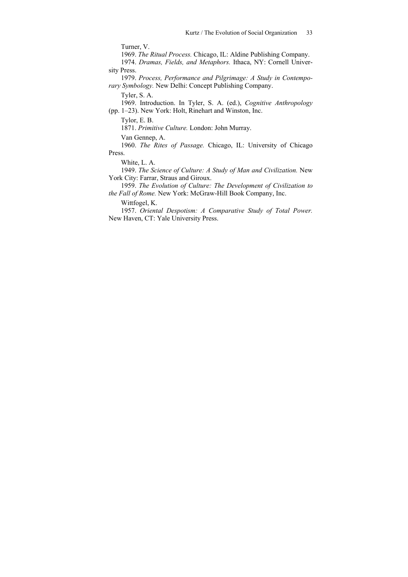Turner, V.

1969. *The Ritual Process.* Chicago, IL: Aldine Publishing Company. 1974. *Dramas, Fields, and Metaphors.* Ithaca, NY: Cornell Univer-

sity Press.

1979. *Process, Performance and Pilgrimage: A Study in Contemporary Symbology.* New Delhi: Concept Publishing Company.

Tyler, S. A.

1969. Introduction. In Tyler, S. A. (ed.), *Cognitive Anthropology* (pp. 1–23). New York: Holt, Rinehart and Winston, Inc.

Tylor, E. B.

1871. *Primitive Culture.* London: John Murray.

Van Gennep, A.

1960. *The Rites of Passage.* Chicago, IL: University of Chicago Press.

White, L. A.

1949. *The Science of Culture: A Study of Man and Civilization.* New York City: Farrar, Straus and Giroux.

1959. *The Evolution of Culture: The Development of Civilization to the Fall of Rome.* New York: McGraw-Hill Book Company, Inc.

Wittfogel, K.

1957. *Oriental Despotism: A Comparative Study of Total Power.* New Haven, CT: Yale University Press.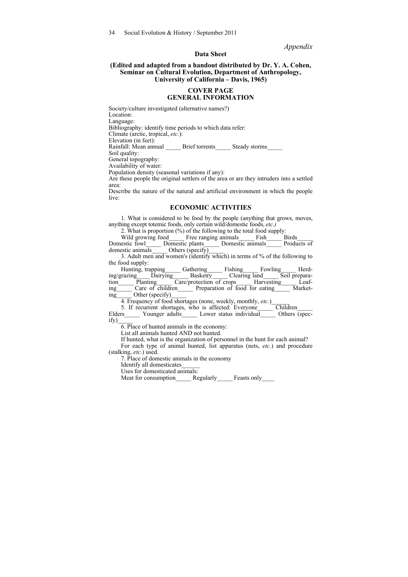*Appendix* 

#### **Data Sheet**

#### **(Edited and adapted from a handout distributed by Dr. Y. A. Cohen, Seminar on Cultural Evolution, Department of Anthropology, University of California – Davis, 1965)**

### **COVER PAGE GENERAL INFORMATION**

Society/culture investigated (alternative names?) Location: Language: Bibliography: identify time periods to which data refer: Climate (arctic, tropical, *etc.*): Elevation (in feet): Rainfall: Mean annual \_\_\_\_\_ Brief torrents\_\_\_\_\_ Steady storms\_ Soil quality: General topography: Availability of water: Population density (seasonal variations if any):

Are these people the original settlers of the area or are they intruders into a settled area:

Describe the nature of the natural and artificial environment in which the people live:

#### **ECONOMIC ACTIVITIES**

1. What is considered to be food by the people (anything that grows, moves, anything except totemic foods, only certain wild/domestic foods, *etc.)*

2. What is proportion (%) of the following to the total food supply:

Wild growing food Free ranging animals Fish Birds Domestic fowl Domestic plants Domestic animals Products of domestic animals Others (specify) domestic animals Others (specify)

3. Adult men and women's (identify which) in terms of % of the following to the food supply:

Hunting, trapping Gathering Fishing Fowling Herding/grazing Dairying Basketry Clearing land Soil preparation\_\_\_\_\_ Planting\_\_\_\_\_ Care/protection of crops\_\_\_\_\_ Harvesting\_\_\_\_\_ Loafing Final Planting Care/protection of crops Harvesting Loaf-<br>ing Care of children Preparation of food for eating Marketing\_\_\_\_\_\_\_ Other (specify)\_

4. Frequency of food shortages (none, weekly, monthly, *etc.*)<br>5. If recurrent shortages, who is affected: Everyone\_\_\_\_\_\_\_Children

5. If recurrent shortages, who is affected: Everyone<br>Elders Younger adults Lower status individual Younger adults\_\_\_\_\_ Lower status individual\_\_\_\_\_ Others (specify)\_\_\_\_\_

6. Place of hunted animals in the economy:

List all animals hunted AND not hunted.

If hunted, what is the organization of personnel in the hunt for each animal? For each type of animal hunted, list apparatus (nets, *etc.*) and procedure (stalking, *etc.*) used.

7. Place of domestic animals in the economy

Identify all domesticates\_\_\_\_\_\_

Uses for domesticated animals:

Meat for consumption\_\_\_\_\_\_ Regularly\_\_\_\_\_ Feasts only\_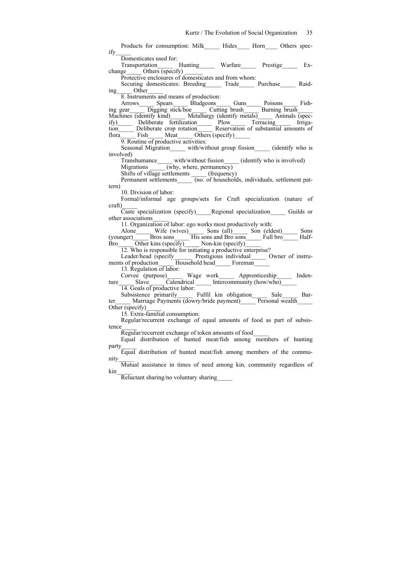Products for consumption: Milk Hides Horn Others specify\_\_\_\_\_ Domesticates used for:<br>Transportation Hunting\_\_\_\_\_ Warfare\_\_\_\_\_ Prestige\_\_\_\_ Exchange\_\_\_\_\_ Others (specify) \_ Protective enclosures of domesticates and from whom: Securing domesticates: Breeding Trade Purchase Raiding Other 8. Instruments and means of production: Arrows Spears Bludgeons Guns Poisons Fishing gear bigging stick/hoe Cutting brush Burning brush Machines (identify kind)\_\_\_\_\_ Metallurgy (identify metals)\_\_\_\_\_ Animals (specify) Deliberate fertilization Plow Terracing Irrigation\_\_\_\_\_ Deliberate crop rotation\_\_\_\_\_ Reservation of substantial amounts of flora Fish Meat Others (specify) 9. Routine of productive activities: Seasonal Migration\_\_\_\_\_ with/without group fission\_\_\_\_\_ (identify who is involved) Transhumance with/without fission (identify who is involved) Migrations (why, where, permanency) Shifts of village settlements \_\_\_\_\_ (frequency) Permanent settlements (no. of households, individuals, settlement pattern) 10. Division of labor: Formal/informal age groups/sets for Craft specialization (nature of craft)\_\_\_\_\_  $\overline{Cast}$  specialization (specify) Regional specialization Guilds or other associations\_\_\_\_\_ 11. Organization of labor: ego works most productively with: Alone Wife (wives) Sons (all) Son (eldest) Sons (younger) Bros sons His sons and Bro sons Full bro Half-Bro Other kins (specify) Non-kin (specify)

12. Who is responsible for initiating a productive enterprise?

Leader/head (specify Prestigious individual Owner of instruments of production Household head Foreman

13. Regulation of labor:

Corvee (purpose)\_\_\_\_\_ Wage work\_\_\_\_\_ Apprenticeship\_\_\_\_\_ Indenture Slave Calendrical Intercommunity (how/who) 14. Goals of productive labor:

Subsistence primarily Fulfil kin obligation Sale Barter\_\_\_\_\_ Marriage Payments (dowry/bride payment)\_\_\_\_ Personal wealth Other (specify)

15. Extra-familial consumption:

Regular/recurrent exchange of equal amounts of food as part of subsistence

Regular/recurrent exchange of token amounts of food\_\_\_\_\_

Equal distribution of hunted meat/fish among members of hunting party

Equal distribution of hunted meat/fish among members of the community\_\_\_\_\_

Mutual assistance in times of need among kin, community regardless of kin\_\_\_\_\_

Reluctant sharing/no voluntary sharing\_\_\_\_\_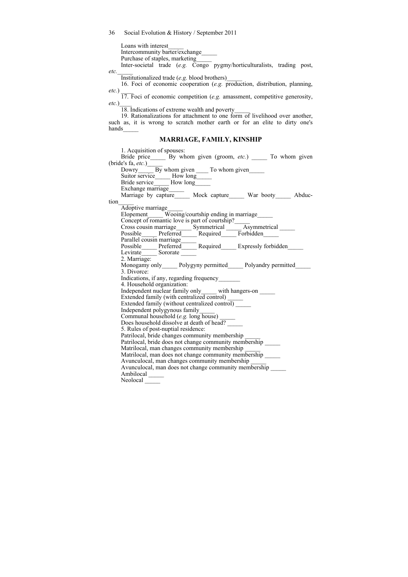Loans with interest

Intercommunity barter/exchange

Purchase of staples, marketing\_\_\_\_\_

Inter-societal trade (e.g. Congo pygmy/horticulturalists, trading post, *etc.\_\_\_\_\_*

Institutionalized trade (*e.g.* blood brothers)\_\_\_\_\_

16. Foci of economic cooperation (*e.g.* production, distribution, planning, *etc.*) \_\_\_\_

17. Foci of economic competition (*e.g.* amassment, competitive generosity, *etc.*)\_\_\_\_

18. Indications of extreme wealth and poverty\_\_\_\_\_

19. Rationalizations for attachment to one form of livelihood over another, such as, it is wrong to scratch mother earth or for an elite to dirty one's hands\_\_\_\_\_

### **MARRIAGE, FAMILY, KINSHIP**

1. Acquisition of spouses: Bride price\_\_\_\_\_ By whom given (groom, *etc.*) \_\_\_\_\_ To whom given (bride's fa, *etc.*)  $\overline{By}$  whom given  $\overline{y}$  To whom given  $\overline{y}$ Suitor service\_\_\_\_\_\_\_ How long Bride service<sup>11</sup> How long Exchange marriage Marriage by capture\_\_\_\_\_\_ Mock capture\_\_\_\_\_ War booty\_\_\_\_\_ Abduction Adoptive marriage\_\_\_\_\_ Elopement Wooing/courtship ending in marriage Concept of romantic love is part of courtship?\_\_\_\_\_ Cross cousin marriage \_\_\_\_\_\_\_\_ Symmetrical \_\_\_\_\_\_\_ Asymmetrical Possible\_\_\_\_\_\_ Preferred\_\_\_\_\_\_ Required\_\_\_\_\_ Forbidden\_\_\_\_\_ Parallel cousin marriage Possible Preferred Required Expressly forbidden Levirate Sororate 2. Marriage:<br>Monogamy only Polygyny permitted Polyandry permitted 3. Divorce: Indications, if any, regarding frequency\_\_\_\_\_\_\_ 4. Household organization: Independent nuclear family only with hangers-on \_\_\_\_\_ Extended family (with centralized control) Extended family (without centralized control) Independent polygynous family\_\_\_\_\_ Communal household (*e.g.* long house) \_\_\_\_\_ Does household dissolve at death of head? 5. Rules of post-nuptial residence: Patrilocal, bride changes community membership Patrilocal, bride does not change community membership Matrilocal, man changes community membership Matrilocal, man does not change community membership Avunculocal, man changes community membership \_\_\_\_\_

Avunculocal, man does not change community membership \_\_\_\_\_

Ambilocal \_\_\_\_\_

Neolocal \_\_\_\_\_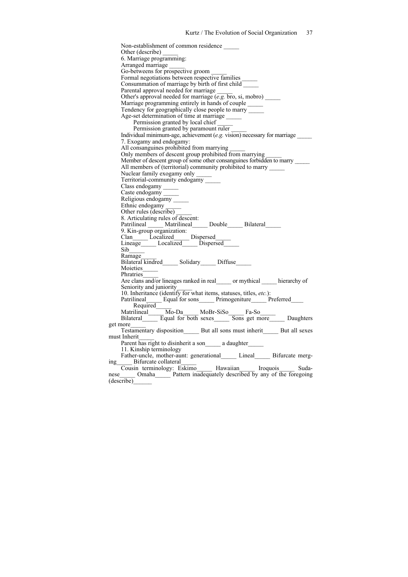Non-establishment of common residence Other (describe) \_\_\_\_\_ 6. Marriage programming: Arranged marriage Go-betweens for prospective groom Formal negotiations between respective families Consummation of marriage by birth of first child \_\_\_\_\_ Parental approval needed for marriage Other's approval needed for marriage (*e.g.* bro, si, mobro) \_\_\_\_\_ Marriage programming entirely in hands of couple Tendency for geographically close people to marry Age-set determination of time at marriage Permission granted by local chief Permission granted by paramount ruler Individual minimum-age, achievement (*e.g.* vision) necessary for marriage \_\_\_\_\_ 7. Exogamy and endogamy: All consanguines prohibited from marrying Only members of descent group prohibited from marrying \_\_\_\_\_\_ Member of descent group of some other consanguines forbidden to marry \_\_\_\_\_\_ All members of (territorial) community prohibited to marry Nuclear family exogamy only Territorial-community endogamy \_\_\_\_\_ Class endogamy \_\_\_\_\_ Caste endogamy Religious endogamy Ethnic endogamy Other rules (describe) 8. Articulating rules of descent: Patrilineal Matrilineal Double Bilateral 9. Kin-group organization: Clan Localized Dispersed  $Lineage$  Localized Dispersed Sib\_\_\_\_\_ Ramage Bilateral kindred\_\_\_\_\_\_ Solidary\_\_\_\_\_\_ Diffuse Moieties\_\_\_\_\_ Phratries Are clans and/or lineages ranked in real or mythical hierarchy of Seniority and juniority 10. Inheritance (identify for what items, statuses, titles, *etc.*): Patrilineal\_\_\_\_\_\_ Equal for sons\_\_\_\_\_ Primogeniture\_\_\_\_\_ Preferred\_\_\_\_ Required<br>Matrilineal Matrilineal Mo-Da MoBr-SiSo Fa-So Bilateral Equal for both sexes Sons get more Daughters get more\_\_\_\_\_ Testamentary disposition But all sons must inherit But all sexes must Inherit\_\_\_\_\_ Parent has right to disinherit a son\_\_\_\_\_\_\_ a daughter\_\_\_\_\_\_\_ 11. Kinship terminology Father-uncle, mother-aunt: generational Lineal Bifurcate merging Bifurcate collateral Cousin terminology: Eskimo Hawaiian Iroquois Suda-

nese Omaha Pattern inadequately described by any of the foregoing  $(describe)$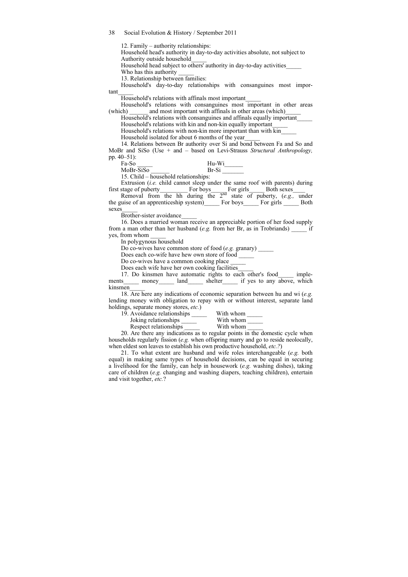12. Family – authority relationships:

Household head's authority in day-to-day activities absolute, not subject to Authority outside household\_\_\_\_\_

Household head subject to others' authority in day-to-day activities

Who has this authority

13. Relationship between families:

Household's day-to-day relationships with consanguines most important

Household's relations with affinals most important\_\_\_\_\_

Household's relations with consanguines most important in other areas (which) and most important with affinals in other areas (which)

Household's relations with consanguines and affinals equally important

Household's relations with kin and non-kin equally important\_\_\_\_\_

Household's relations with non-kin more important than with  $\overline{\text{kin}}$ 

Household isolated for about 6 months of the year\_

14. Relations between Br authority over Si and bond between Fa and So and MoBr and SiSo (Use + and – based on Levi-Strauss *Structural Anthropology,*  pp. 40–51):

Fa-So Hu-Wi MoBr-SiSo Br-Si 15. Child – household relationships:

Extrusion (*i.e.* child cannot sleep under the same roof with parents) during first stage of puberty For boys For girls Both sexes

first stage of puberty\_\_\_\_\_\_\_\_\_ For boys\_\_\_\_\_ For girls\_\_\_\_\_ Both sexes\_\_\_\_ Removal from the hh during the 2nd state of puberty, (*e.g.,* under the guise of an apprenticeship system) For boys\_\_\_\_\_\_ For girls Both sexes\_\_\_\_\_

Brother-sister avoidance\_\_\_\_\_

16. Does a married woman receive an appreciable portion of her food supply from a man other than her husband (*e.g.* from her Br, as in Trobriands) \_\_\_\_\_ if yes, from whom

In polygynous household

Do co-wives have common store of food (*e.g.* granary) \_\_\_\_\_

Does each co-wife have hew own store of food

Do co-wives have a common cooking place

Does each wife have her own cooking facilities

17. Do kinsmen have automatic rights to each other's food implements\_\_\_\_\_\_ money\_\_\_\_\_\_ land\_\_\_\_\_\_ shelter\_\_\_\_\_ if yes to any above, which kinsmen\_\_\_\_\_

18. Are here any indications of economic separation between hu and wi (*e.g.* lending money with obligation to repay with or without interest, separate land holdings, separate money stores, *etc.*)

| 19. Avoidance relationships                                                                                                      | With whom |
|----------------------------------------------------------------------------------------------------------------------------------|-----------|
| Joking relationships                                                                                                             | With whom |
| Respect relationships                                                                                                            | With whom |
| $\sim$ $\sim$<br>the contract of the contract of the contract of the contract of the contract of the contract of the contract of |           |

20. Are there any indications as to regular points in the domestic cycle when households regularly fission (*e.g.* when offspring marry and go to reside neolocally, when eldest son leaves to establish his own productive household, *etc.?*)

21. To what extent are husband and wife roles interchangeable (*e.g.* both equal) in making same types of household decisions, can be equal in securing a livelihood for the family, can help in housework (*e.g.* washing dishes), taking care of children (*e.g.* changing and washing diapers, teaching children), entertain and visit together, *etc.*?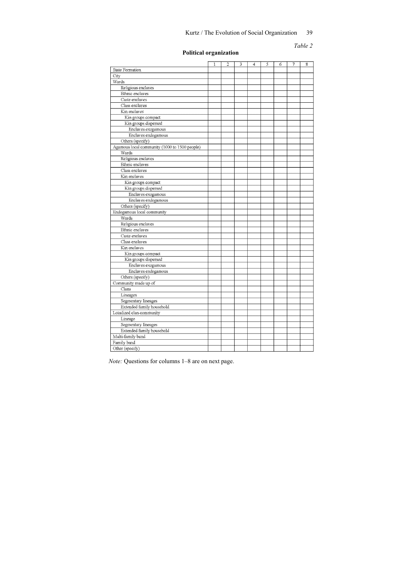# Kurtz / The Evolution of Social Organization 39

# *Table 2*

# **Political organization**

|  | i ante |  |  |
|--|--------|--|--|
|  |        |  |  |

|                                               | 1 | 2 | 3 | 4 | 5. | б | 7 | 8 |
|-----------------------------------------------|---|---|---|---|----|---|---|---|
| <b>State Formation</b>                        |   |   |   |   |    |   |   |   |
| City                                          |   |   |   |   |    |   |   |   |
| Wards                                         |   |   |   |   |    |   |   |   |
| Religious enclayes                            |   |   |   |   |    |   |   |   |
| Ethnic enclaves                               |   |   |   |   |    |   |   |   |
| Caste enclaves                                |   |   |   |   |    |   |   |   |
| Class enclaves                                |   |   |   |   |    |   |   |   |
| Kin enclaves                                  |   |   |   |   |    |   |   |   |
| Kin groups compact                            |   |   |   |   |    |   |   |   |
| Kin groups dispersed                          |   |   |   |   |    |   |   |   |
| Enclaves exogamous                            |   |   |   |   |    |   |   |   |
| Enclaves endogamous                           |   |   |   |   |    |   |   |   |
| Others (specify)                              |   |   |   |   |    |   |   |   |
| Agamous local community (1000 to 1500 people) |   |   |   |   |    |   |   |   |
| Wards                                         |   |   |   |   |    |   |   |   |
| Religious enclaves                            |   |   |   |   |    |   |   |   |
| Ethnic enclaves                               |   |   |   |   |    |   |   |   |
| Class enclaves                                |   |   |   |   |    |   |   |   |
| Kin enclaves                                  |   |   |   |   |    |   |   |   |
| Kin groups compact                            |   |   |   |   |    |   |   |   |
| Kin groups dispersed                          |   |   |   |   |    |   |   |   |
| Enclaves exogamous                            |   |   |   |   |    |   |   |   |
| Enclaves endogamous                           |   |   |   |   |    |   |   |   |
| Others (specify)                              |   |   |   |   |    |   |   |   |
| Endogamous local community                    |   |   |   |   |    |   |   |   |
| Wards                                         |   |   |   |   |    |   |   |   |
| Religious enclaves                            |   |   |   |   |    |   |   |   |
| Ethnic enclaves                               |   |   |   |   |    |   |   |   |
| Caste enclaves                                |   |   |   |   |    |   |   |   |
| Class enclaves                                |   |   |   |   |    |   |   |   |
| Kin enclaves                                  |   |   |   |   |    |   |   |   |
| Kin groups compact                            |   |   |   |   |    |   |   |   |
| Kin groups dispersed                          |   |   |   |   |    |   |   |   |
| Enclaves exogamous                            |   |   |   |   |    |   |   |   |
| Enclaves endogamous                           |   |   |   |   |    |   |   |   |
| Others (specify)                              |   |   |   |   |    |   |   |   |
| Community made up of                          |   |   |   |   |    |   |   |   |
| Clans                                         |   |   |   |   |    |   |   |   |
| Lineages                                      |   |   |   |   |    |   |   |   |
| Segmentary lineages                           |   |   |   |   |    |   |   |   |
| Extended family household                     |   |   |   |   |    |   |   |   |
| Localized clan-community                      |   |   |   |   |    |   |   |   |
| Lineage                                       |   |   |   |   |    |   |   |   |
| Segmentary lineages                           |   |   |   |   |    |   |   |   |
| Extended family household                     |   |   |   |   |    |   |   |   |
| Multi-family band                             |   |   |   |   |    |   |   |   |
| Family band                                   |   |   |   |   |    |   |   |   |
| Other (specify)                               |   |   |   |   |    |   |   |   |

*Note:* Questions for columns 1–8 are on next page.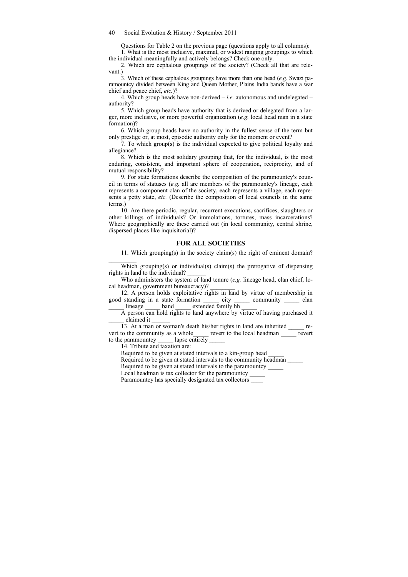Questions for Table 2 on the previous page (questions apply to all columns): 1. What is the most inclusive, maximal, or widest ranging groupings to which the individual meaningfully and actively belongs? Check one only.

2. Which are cephalous groupings of the society? (Check all that are relevant.)

3. Which of these cephalous groupings have more than one head (*e.g.* Swazi paramountcy divided between King and Queen Mother, Plains India bands have a war chief and peace chief, *etc.*)?

4. Which group heads have non-derived – *i.e.* autonomous and undelegated – authority?

5. Which group heads have authority that is derived or delegated from a larger, more inclusive, or more powerful organization (*e.g.* local head man in a state formation)?

6. Which group heads have no authority in the fullest sense of the term but only prestige or, at most, episodic authority only for the moment or event?

7. To which group(s) is the individual expected to give political loyalty and allegiance?

8. Which is the most solidary grouping that, for the individual, is the most enduring, consistent, and important sphere of cooperation, reciprocity, and of mutual responsibility?

9. For state formations describe the composition of the paramountcy's council in terms of statuses (*e.g.* all are members of the paramountcy's lineage, each represents a component clan of the society, each represents a village, each represents a petty state, *etc.* (Describe the composition of local councils in the same terms.)

10. Are there periodic, regular, recurrent executions, sacrifices, slaughters or other killings of individuals? Or immolations, tortures, mass incarcerations? Where geographically are these carried out (in local community, central shrine, dispersed places like inquisitorial)?

#### **FOR ALL SOCIETIES**

11. Which grouping(s) in the society claim(s) the right of eminent domain?

Which grouping(s) or individual(s) claim(s) the prerogative of dispensing rights in land to the individual? \_\_\_\_\_\_

Who administers the system of land tenure (*e.g.* lineage head, clan chief, local headman, government bureaucracy)?

12. A person holds exploitative rights in land by virtue of membership in good standing in a state formation extended family  $\frac{1}{h}$  community  $\frac{1}{h}$  clan  $\overline{\text{lineage}}$   $\frac{\text{band}}{\text{angle}}$  extended family  $\overline{\text{hh}}$ 

A person can hold rights to land anywhere by virtue of having purchased it claimed it

13. At a man or woman's death his/her rights in land are inherited revert to the community as a whole\_\_\_\_\_\_ revert to the local headman \_\_\_\_\_ revert to the paramountcy lapse entirely

14. Tribute and taxation are:

 $\frac{1}{2}$ 

Required to be given at stated intervals to a kin-group head \_\_\_\_\_

Required to be given at stated intervals to the community headman \_\_\_\_\_

Required to be given at stated intervals to the paramountcy \_\_\_\_\_

Local headman is tax collector for the paramountcy

Paramountcy has specially designated tax collectors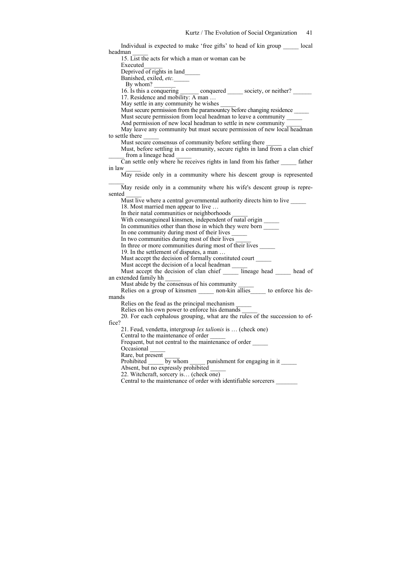Individual is expected to make 'free gifts' to head of kin group local headman \_\_\_\_\_

15. List the acts for which a man or woman can be

Executed\_\_\_\_\_\_

Deprived of rights in land

Banished, exiled, *etc.*\_\_\_\_\_ By whom?

 $1$  conquered  $\frac{1}{\sqrt{1-\frac{1}{n}}}$  society, or neither? 16. Is this a conquering conque 17. Residence and mobility: A man ...

May settle in any community he wishes

Must secure permission from the paramountcy before changing residence \_\_\_\_\_

Must secure permission from local headman to leave a community

And permission of new local headman to settle in new community

May leave any community but must secure permission of new local headman to settle there

Must secure consensus of community before settling there

Must, before settling in a community, secure rights in land from a clan chief from a lineage head

 $\overline{C}$ an settle only where  $\overline{he}$  receives rights in land from his father father in law

May reside only in a community where his descent group is represented  $\mathcal{L}_\mathcal{L}$ 

May reside only in a community where his wife's descent group is represented \_\_\_\_\_

Must live where a central governmental authority directs him to live

18. Most married men appear to live …

In their natal communities or neighborhoods

With consanguineal kinsmen, independent of natal origin

In communities other than those in which they were born

In one community during most of their lives

In two communities during most of their lives

In three or more communities during most of their lives

19. In the settlement of disputes, a man …

Must accept the decision of formally constituted court

Must accept the decision of a local headman

Must accept the decision of clan chief \_\_\_\_\_ lineage head \_\_\_\_\_ head of an extended family hh \_\_\_\_\_

Must abide by the consensus of his community Relies on a group of kinsmen non-kin

 $\frac{R}{\text{non-kin allies}}$  to enforce his demands

Relies on the feud as the principal mechanism \_\_\_\_\_

Relies on his own power to enforce his demands

20. For each cephalous grouping, what are the rules of the succession to office?

21. Feud, vendetta, intergroup *lex talionis* is … (check one)

Central to the maintenance of order

Frequent, but not central to the maintenance of order

Occasional \_\_\_\_\_

Rare, but present

Prohibited by whom punishment for engaging in it Absent, but no expressly prohibited

22. Witchcraft, sorcery is… (check one)

Central to the maintenance of order with identifiable sorcerers \_\_\_\_\_\_\_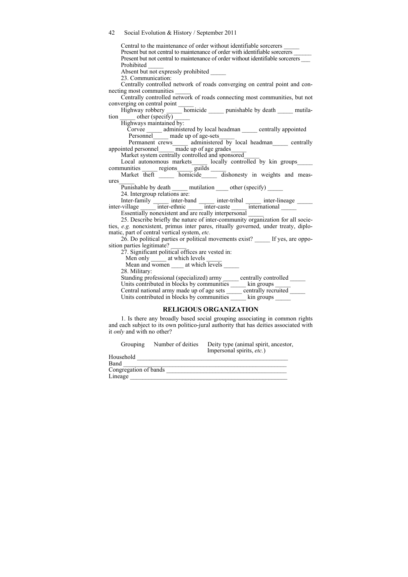42 Social Evolution & History / September 2011

Central to the maintenance of order without identifiable sorcerers \_\_\_\_\_ Present but not central to maintenance of order with identifiable sorcerers Present but not central to maintenance of order without identifiable sorcerers Prohibited Absent but not expressly prohibited 23. Communication: Centrally controlled network of roads converging on central point and connecting most communities \_\_\_\_\_ Centrally controlled network of roads connecting most communities, but not converging on central point \_\_\_\_\_ Highway robbery **homicide** punishable by death mutila- $\text{tion}$  other (specify) Highways maintained by: Corvee \_\_\_\_\_ administered by local headman \_\_\_\_\_ centrally appointed Personnel\_\_\_\_\_\_\_ made up of age-sets\_ Permanent crews administered by local headman centrally appointed personnel and made up of age grades Market system centrally controlled and sponsored\_ Local autonomous markets\_\_\_\_\_ locally controlled by kin groups\_\_\_\_\_ communities regions guilds quilds and guilds the regions of  $\frac{1}{2}$ Market theft **homicide** dishonesty in weights and measures\_\_\_\_\_ Punishable by death \_\_\_\_\_\_ mutilation \_\_\_\_\_ other (specify) \_\_\_\_\_\_ 24. Intergroup relations are: Inter-family inter-band inter-tribal inter-lineage inter-village inter-ethnic inter-caste international Essentially nonexistent and are really interpersonal \_\_\_\_\_ 25. Describe briefly the nature of inter-community organization for all societies, *e.g.* nonexistent, primus inter pares, ritually governed, under treaty, diplomatic, part of central vertical system, *etc.* 26. Do political parties or political movements exist? \_\_\_\_\_ If yes, are opposition parties legitimate? 27. Significant political offices are vested in: Men only \_\_\_\_\_\_\_ at which levels Mean and women \_\_\_\_\_\_ at which levels 28. Military: Standing professional (specialized) army centrally controlled Units contributed in blocks by communities help is help as  $\mu$  kin groups  $\mu$ Central national army made up of age sets centrally recruited Units contributed in blocks by communities \_\_\_\_\_\_\_ kin groups

#### **RELIGIOUS ORGANIZATION**

1. Is there any broadly based social grouping associating in common rights and each subject to its own politico-jural authority that has deities associated with it *only* and with no other?

| Grouping              | Number of deities | Deity type (animal spirit, ancestor,<br>Impersonal spirits, etc.) |
|-----------------------|-------------------|-------------------------------------------------------------------|
| Household             |                   |                                                                   |
| Band                  |                   |                                                                   |
| Congregation of bands |                   |                                                                   |
| Lineage               |                   |                                                                   |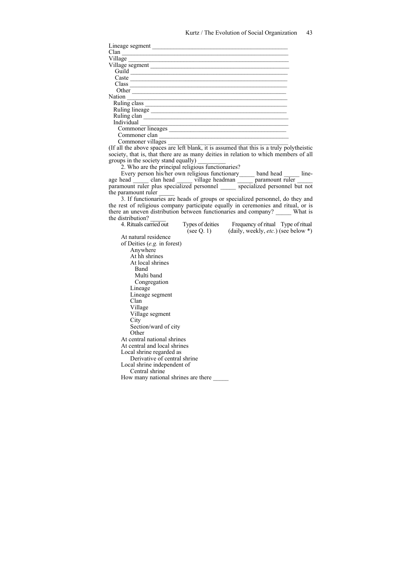| Lineage segment   |
|-------------------|
| Clan              |
| Village           |
| Village segment   |
| Guild             |
| Caste             |
| Class             |
| Other             |
| Nation            |
| Ruling class      |
| Ruling lineage    |
| Ruling clan       |
| Individual        |
| Commoner lineages |
| Commoner clan     |
| Commoner villages |

(If all the above spaces are left blank, it is assumed that this is a truly polytheistic society, that is, that there are as many deities in relation to which members of all groups in the society stand equally) \_\_\_\_\_\_\_\_\_

2. Who are the principal religious functionaries?

Every person his/her own religious functionary band head lineage head clan head village headman paramount ruler paramount ruler plus specialized personnel specialized personnel but not the paramount ruler

3. If functionaries are heads of groups or specialized personnel, do they and the rest of religious company participate equally in ceremonies and ritual, or is there an uneven distribution between functionaries and company? What is the distribution? \_\_\_\_\_ of deities Frequency of ritual Type of ritual

| 4. Rituals carried out              | Types of deities<br>(see $Q.1$ ) | Frequency of ritual Type of ritual<br>(daily, weekly, <i>etc.</i> ) (see below $*$ ) |
|-------------------------------------|----------------------------------|--------------------------------------------------------------------------------------|
| At natural residence                |                                  |                                                                                      |
| of Deities $(e.g.$ in forest)       |                                  |                                                                                      |
| Anywhere                            |                                  |                                                                                      |
| At hh shrines                       |                                  |                                                                                      |
| At local shrines                    |                                  |                                                                                      |
| Band                                |                                  |                                                                                      |
| Multi band                          |                                  |                                                                                      |
| Congregation                        |                                  |                                                                                      |
| Lineage                             |                                  |                                                                                      |
| Lineage segment                     |                                  |                                                                                      |
| Clan                                |                                  |                                                                                      |
| Village                             |                                  |                                                                                      |
| Village segment                     |                                  |                                                                                      |
| City                                |                                  |                                                                                      |
| Section/ward of city                |                                  |                                                                                      |
| Other                               |                                  |                                                                                      |
| At central national shrines         |                                  |                                                                                      |
| At central and local shrines        |                                  |                                                                                      |
| Local shrine regarded as            |                                  |                                                                                      |
| Derivative of central shrine        |                                  |                                                                                      |
| Local shrine independent of         |                                  |                                                                                      |
| Central shrine                      |                                  |                                                                                      |
| How many national shrines are there |                                  |                                                                                      |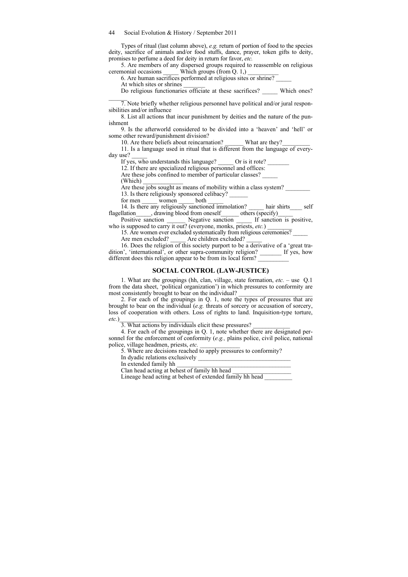Types of ritual (last column above), *e.g.* return of portion of food to the species deity, sacrifice of animals and/or food stuffs, dance, prayer, token gifts to deity, promises to perfume a deed for deity in return for favor, *etc.*

5. Are members of any dispersed groups required to reassemble on religious ceremonial occasions  $\_\_\_\$  Which groups (from Q. 1,)

6. Are human sacrifices performed at religious sites or shrine?

At which sites or shrines

Do religious functionaries officiate at these sacrifices? Which ones?  $\mathcal{L}_\text{max}$ 

7. Note briefly whether religious personnel have political and/or jural responsibilities and/or influence

8. List all actions that incur punishment by deities and the nature of the punishment

9. Is the afterworld considered to be divided into a 'heaven' and 'hell' or some other reward/punishment division?

10. Are there beliefs about reincarnation? What are they?

11. Is a language used in ritual that is different from the language of everyday use?

If yes, who understands this language?  $\qquad$  Or is it rote?

12. If there are specialized religious personnel and offices:

Are these jobs confined to member of particular classes?

(Which) \_\_\_\_\_\_\_\_\_\_\_\_\_

Are these jobs sought as means of mobility within a class system?

13. Is there religiously sponsored celibacy?

for men  $\frac{1}{\sqrt{2}}$  women both

14. Is there any religiously sanctioned immolation? hair shirts self flagellation flagellation flagellation characterized from oneself others (specify)

Positive sanction **Negative sanction** If sanction is positive, Positive sanction Negative sanction If sand<br>who is supposed to carry it out? (everyone, monks, priests, *etc.*)

15. Are women ever excluded systematically from religious ceremonies?

Are men excluded? \_\_\_\_\_\_ Are children excluded?

16. Does the religion of this society purport to be a derivative of a 'great tradition', 'international', or other supra-community religion? \_\_\_\_\_\_\_\_ If yes, how different does this religion appear to be from its local form?

#### **SOCIAL CONTROL (LAW-JUSTICE)**

1. What are the groupings (hh, clan, village, state formation, *etc.* – use Q.1 from the data sheet, 'political organization') in which pressures to conformity are most consistently brought to bear on the individual?

2. For each of the groupings in Q. 1, note the types of pressures that are brought to bear on the individual (*e.g.* threats of sorcery or accusation of sorcery, loss of cooperation with others. Loss of rights to land. Inquisition-type torture,  $etc.$ )

3. What actions by individuals elicit these pressures?

4. For each of the groupings in Q. 1, note whether there are designated personnel for the enforcement of conformity (*e.g.,* plains police, civil police, national police, village headmen, priests, etc.

5. Where are decisions reached to apply pressures to conformity?

In dyadic relations exclusively

In extended family hh

Clan head acting at behest of family hh head

Lineage head acting at behest of extended family hh head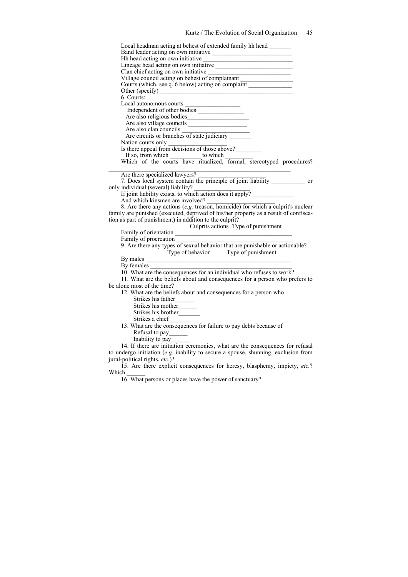| Local headman acting at behest of extended family hh head                                                                                    |
|----------------------------------------------------------------------------------------------------------------------------------------------|
| Band leader acting on own initiative                                                                                                         |
| Hh head acting on own initiative<br>Lineage head acting on own initiative                                                                    |
|                                                                                                                                              |
| Clan chief acting on own initiative<br>Village council acting on behest of complainant<br>Courts (which, see q. 6 below) acting on complaint |
|                                                                                                                                              |
|                                                                                                                                              |
| Other (specify)                                                                                                                              |
| 6. Courts:                                                                                                                                   |
| Local autonomous courts                                                                                                                      |
| Independent of other bodies                                                                                                                  |
| Are also religious bodies                                                                                                                    |
| Are also village councils                                                                                                                    |
| Are also clan councils<br>Are circuits or branches of state judiciary                                                                        |
|                                                                                                                                              |
| Nation courts only                                                                                                                           |
|                                                                                                                                              |
| If so, from which to which to which to which is the courts have ritualized, formal, stereotyped procedures?                                  |
|                                                                                                                                              |
| Are there specialized lawyers?                                                                                                               |
| 7. Does local system contain the principle of joint liability _________________ or                                                           |
| only individual (several) liability?                                                                                                         |
| individual (several) liability?<br>If joint liability exists, to which action does it apply?                                                 |
| And which kinsmen are involved?                                                                                                              |
| And which kinsmen are involved?<br>8. Are there any actions ( <i>e.g.</i> treason, homicide) for which a culprit's nuclear                   |
| family are punished (executed, deprived of his/her property as a result of confisca-                                                         |
| tion as part of punishment) in addition to the culprit?                                                                                      |
|                                                                                                                                              |
| Culprits actions Type of punishment<br>Family of orientation                                                                                 |
| Family of procreation                                                                                                                        |
| Family of procreation<br>9. Are there any types of sexual behavior that are punishable or actionable?                                        |
| Type of behavior Type of punishment                                                                                                          |
| By males $\frac{1}{\sqrt{1-\frac{1}{2}}}\left\{ \frac{1}{2}, \frac{1}{2}, \frac{1}{2}, \frac{1}{2}\right\}$                                  |
|                                                                                                                                              |
| By females <b>Solution</b><br>10. What are the consequences for an individual who refuses to work?                                           |
| 11. What are the beliefs about and consequences for a person who prefers to                                                                  |
| be alone most of the time?                                                                                                                   |
| 12. What are the beliefs about and consequences for a person who                                                                             |
| Strikes his father_______                                                                                                                    |
| Strikes his mother                                                                                                                           |
|                                                                                                                                              |
|                                                                                                                                              |
| Strikes a chief<br>13. What are the consequences for failure to pay debts because of                                                         |
|                                                                                                                                              |
| Refusal to pay______                                                                                                                         |
| Inability to pay______                                                                                                                       |
| 14. If there are initiation ceremonies, what are the consequences for refusal                                                                |
| to undergo initiation (e.g. inability to secure a spouse, shunning, exclusion from                                                           |
| jural-political rights, etc.)?                                                                                                               |
| 15. Are there explicit consequences for heresy, blasphemy, impiety, etc.?                                                                    |
| Which                                                                                                                                        |

16. What persons or places have the power of sanctuary?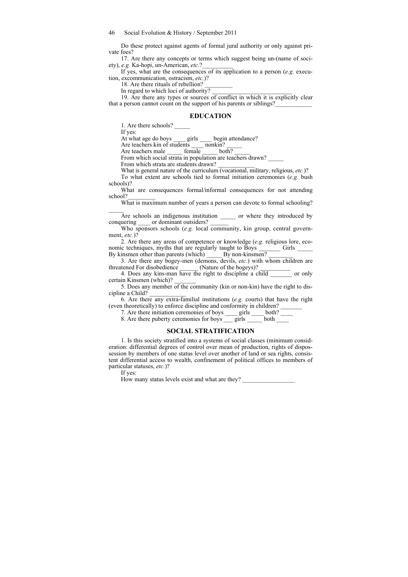Do these protect against agents of formal jural authority or only against private foes?

17. Are there any concepts or terms which suggest being un-(name of society), *e.g.* Ka-hopi, un-American, *etc.*?\_\_\_\_\_\_\_\_\_\_

If yes, what are the consequences of its application to a person (*e.g.* execution, excommunication, ostracism, *etc.*)?

18. Are there rituals of rebellion?

In regard to which loci of authority?

19. Are there any types or sources of conflict in which it is explicitly clear that a person cannot count on the support of his parents or siblings?

#### **EDUCATION**

1. Are there schools? \_\_\_\_\_

If yes:

At what age do boys \_\_\_\_ girls \_\_\_\_ begin attendance?

Are teachers kin of students \_\_\_\_ nonkin? \_\_\_\_\_

Are teachers male female both?

From which social strata in population are teachers drawn?

From which strata are students drawn?

What is general nature of the curriculum (vocational, military, religious, *etc.*)?

To what extent are schools tied to formal initiation ceremonies (*e.g.* bush schools)?

What are consequences formal/informal consequences for not attending school?

What is maximum number of years a person can devote to formal schooling?  $\mathcal{L}_\mathcal{L}$ 

Are schools an indigenous institution \_\_\_\_\_ or where they introduced by conquering or dominant outsiders?

Who sponsors schools (e.g. local community, kin group, central government, *etc.*)?

2. Are there any areas of competence or knowledge (*e.g.* religious lore, economic techniques, myths that are regularly taught to Boys Girls Girls By kinsmen other than parents (which) By non-kinsmen?

3. Are there any bogey-men (demons, devils, *etc.*) with whom children are threatened For disobedience (Nature of the bogeys)?

4. Does any kins-man have the right to discipline a child \_\_\_\_\_\_\_ or only certain Kinsmen (which)? \_\_\_\_\_\_\_

5. Does any member of the community (kin or non-kin) have the right to discipline a Child?

6. Are there any extra-familial institutions (*e.g.* courts) that have the right (even theoretically) to enforce discipline and conformity in children? \_\_\_\_\_\_\_

7. Are there initiation ceremonies of boys  $\frac{1}{\text{girls}}$  both?  $\frac{1}{\text{St}}$  8. Are there puberty ceremonies for boys  $\frac{1}{\text{girls}}$  both

8. Are there puberty ceremonies for boys

### **SOCIAL STRATIFICATION**

1. Is this society stratified into a systems of social classes (minimum consideration: differential degrees of control over mean of production, rights of dispossession by members of one status level over another of land or sea rights, consistent differential access to wealth, confinement of political offices to members of particular statuses, *etc.*)?

If yes:

How many status levels exist and what are they?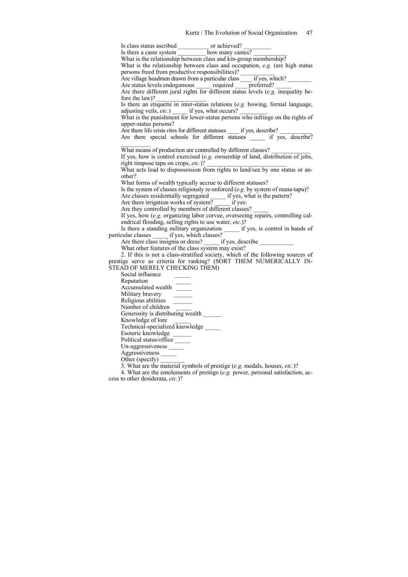Is class status ascribed \_\_\_\_\_\_\_\_\_\_ or achieved? <br>Is there a caste system how many castes? Is there a caste system What is the relationship between class and kin-group membership? What is the relationship between class and occupation, *e.g.* (are high status persons freed from productive responsibilities)? \_\_\_\_\_\_\_\_\_\_\_ Are village headmen drawn from a particular class  $\overline{\phantom{a}}$ Are status levels endogamous \_\_\_\_\_\_ required \_\_\_\_\_ preferred? Are there different jural rights for different status levels (*e.g.* inequality before the law)? Is there an etiquette in inter-status relations (*e.g.* bowing, formal language, adjusting veils, *etc.*) if yes, what occurs? What is the punishment for lower-status persons who infringe on the rights of upper-status persons? Are there life crisis rites for different statuses \_\_\_\_\_ if yes, describe? \_\_\_\_\_\_\_\_\_\_\_ Are there special schools for different statuses if yes, describe? What means of production are controlled by different classes? If yes, how is control exercised (*e.g.* ownership of land, distribution of jobs, right timpose tapu on crops, *etc.*)? What acts lead to dispossession from rights to land/sea by one status or another? What forms of wealth typically accrue to different statuses? Is the system of classes religiously re-enforced (*e.g.* by system of mana-tapu)? Are classes residentially segregated if yes, what is the pattern? Are there irrigation works of system? if yes: Are they controlled by members of different classes? If yes, how (*e.g.* organizing labor corvee, overseeing repairs, controlling calendrical flooding, selling rights to use water, *etc.*)? Is there a standing military organization  $\frac{1}{\sqrt{1 + \frac{1}{n}}}$  if yes, is control in hands of particular classes  $\frac{1}{2}$  if yes, which classes? Are there class insignia or dress? if yes, describe What other features of the class system may exist? 2. If this is not a class-stratified society, which of the following sources of prestige serve as criteria for ranking? (SORT THEM NUMERICALLY IN-STEAD OF MERELY CHECKING THEM) Social influence Reputation \_\_\_\_\_ Accumulated wealth Military bravery Religious abilities Number of children Generosity is distributing wealth Knowledge of lore Technical-specialized knowledge Esoteric knowledge Political status/office Un-aggressiveness \_\_\_\_\_ Aggressiveness \_\_\_\_\_ Other (specify) 3. What are the material symbols of prestige (*e.g.* medals, houses, *etc.*)? 4. What are the emoluments of prestige (*e.g.* power, personal satisfaction, ac-

cess to other desiderata, *etc.*)?